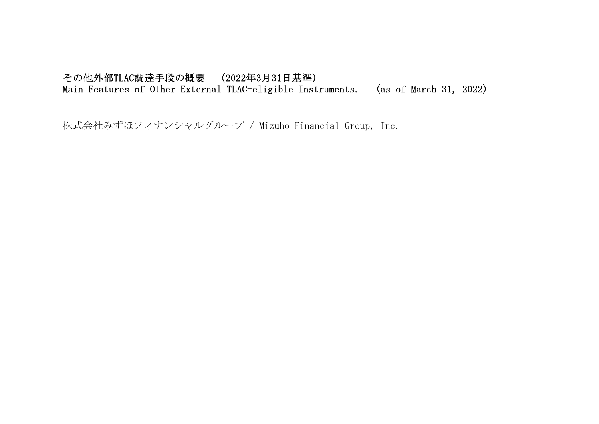## その他外部TLAC調達手段の概要 (2022年3月31日基準) Main Features of Other External TLAC-eligible Instruments. (as of March 31, 2022)

株式会社みずほフィナンシャルグループ / Mizuho Financial Group, Inc.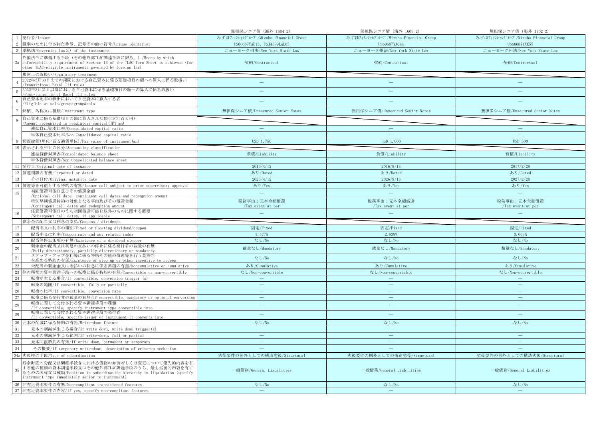|                                                                                                                                                                                                                             | 無担保シニア債 (海外_1604_2)                   | 無担保シニア債 (海外_1609_2)                   | 無担保シニア債 (海外_1702_2)                   |
|-----------------------------------------------------------------------------------------------------------------------------------------------------------------------------------------------------------------------------|---------------------------------------|---------------------------------------|---------------------------------------|
| 発行者/Issuer                                                                                                                                                                                                                  | みずほフィナンシャルグループ/Mizuho Financial Group | みずほフィナンシャルグループ/Mizuho Financial Group | みずほフィナンシャルグループ/Mizuho Financial Group |
| 識別のために付された番号、記号その他の符号/Unique identifier                                                                                                                                                                                     | US60687YAD13、USJ4599LAL65             | US60687YAG44                          | US60687YAK55                          |
| 準拠法/Governing law(s) of the instrument                                                                                                                                                                                      | ニューヨーク州法/New York State Law           | ニューヨーク州法/New York State Law           | ニューヨーク州法/New York State Law           |
| 外国法令に準拠する手段(その他外部TLAC調達手段に限る。)/Means by which<br>enforceability requirement of Section 13 of the TLAC Term Sheet is achieved (for<br>3a<br>other TLAC-eligible instruments governed by foreign law)                         | 契約/Contractual                        | 契約/Contractual                        | 契約/Contractual                        |
| 規制上の取扱い/Regulatory treatment                                                                                                                                                                                                |                                       |                                       |                                       |
| 2022年3月30日までの期間における自己資本に係る基礎項目の額への算入に係る取扱い<br>Transitional Basel III rules                                                                                                                                                  | $\overline{\phantom{m}}$              | $\overline{\phantom{0}}$              |                                       |
| 2022年3月31日以降における自己資本に係る基礎項目の額への算入に係る取扱い<br>Post-transitional Basel III rules                                                                                                                                                |                                       |                                       |                                       |
| 自己資本比率の算出において自己資本に算入する者<br>Eligible at solo/group/group&solo                                                                                                                                                                |                                       |                                       |                                       |
| 銘柄、名称又は種類/Instrument type                                                                                                                                                                                                   | 無担保シニア債/Unsecured Senior Notes        | 無担保シニア債/Unsecured Senior Notes        | 無担保シニア債/Unsecured Senior Notes        |
| 自己資本に係る基礎項目の額に算入された額(単位:百万円)                                                                                                                                                                                                |                                       |                                       |                                       |
| Amount recognised in regulatory capital (JPY mn)                                                                                                                                                                            |                                       |                                       |                                       |
| 連結自己資本比率/Consolidated capital ratio                                                                                                                                                                                         | $\equiv$                              | $\qquad \qquad -$                     | $\equiv$                              |
| 単体自己資本比率/Non-Consolidated capital ratio                                                                                                                                                                                     | <u>т н</u>                            |                                       |                                       |
| 額面総額(単位:百万通貨単位)/Par value of instrument(mn)                                                                                                                                                                                 | USD 1,750                             | USD 1,000                             | <b>USD 500</b>                        |
| 10 表示される科目の区分/Accounting classification                                                                                                                                                                                     |                                       |                                       |                                       |
| 連結貸借対照表/Consolidated balance sheet                                                                                                                                                                                          | 負債/Liability                          | 負債/Liability                          | 負債/Liability                          |
| 単体貸借対照表/Non-Consolidated balance sheet                                                                                                                                                                                      |                                       |                                       |                                       |
| 発行日/Original date of issuance                                                                                                                                                                                               | 2016/4/12                             | 2016/9/13                             | 2017/2/28                             |
| 12 償還期限の有無/Perpetual or dated                                                                                                                                                                                               | あり/Dated                              | あり/Dated                              | あり/Dated                              |
| 13<br>その日付/Original maturity date                                                                                                                                                                                           | 2026/4/12                             | 2026/9/13                             | 2027/2/28                             |
| 14<br>償還等を可能とする特約の有無/Issuer call subject to prior supervisory approval                                                                                                                                                      | あり/Yes                                | あり/Yes                                | あり/Yes                                |
| 初回償還可能日及びその償還金額<br>15<br>/Optional call date, contingent call dates and redemption amount                                                                                                                                   | $\sim$                                | $\equiv$                              | $\equiv$                              |
| 特別早期償還特約の対象となる事由及びその償還金額                                                                                                                                                                                                    | 税務事由:元本全額償還                           | 税務事由:元本全額償還                           | 税務事由:元本全額償還                           |
| /Contingent call dates and redemption amount                                                                                                                                                                                | /Tax event at per                     | /Tax event at per                     | /Tax event at per                     |
| 任意償還可能日のうち初回償還可能日以外のものに関する概要                                                                                                                                                                                                |                                       |                                       |                                       |
| 16                                                                                                                                                                                                                          |                                       |                                       |                                       |
| /Subsequent call dates, if applicable                                                                                                                                                                                       |                                       |                                       |                                       |
| 剰余金の配当又は利息の支払/Coupons / dividends                                                                                                                                                                                           |                                       |                                       |                                       |
| $17\,$<br>配当率又は利率の種別/Fixed or floating dividend/coupon                                                                                                                                                                      | 固定/Fixed                              | 固定/Fixed                              | 固定/Fixed                              |
| 18<br>配当率又は利率/Coupon rate and any related index                                                                                                                                                                             | 3.477%                                | 2.839%                                | 3.663%                                |
| 19<br>配当等停止条項の有無/Existence of a dividend stopper                                                                                                                                                                            | なし/No                                 | なし/No                                 | なし/No                                 |
| 剰余金の配当又は利息の支払いの停止に係る発行者の裁量の有無<br>20<br>/Fully discretionary, partially discretionary or mandatory                                                                                                                           | 裁量なし/Mandatory                        | 裁量なし/Mandatory                        | 裁量なし/Mandatory                        |
| ステップ・アップ金利等に係る特約その他の償還等を行う蓋然性<br>21<br>を高める特約の有無/Existence of step up or other incentive to redeem                                                                                                                          | なし/No                                 | なし/No                                 | なし/No                                 |
| 未配当の剰余金又は未払いの利息に係る累積の有無/Noncumulative or cumulative                                                                                                                                                                         | あり/Cumulative                         | あり/Cumulative                         | あり/Cumulative                         |
| $\frac{22}{23}$<br>他の種類の資本調達手段への転換に係る特約の有無/Convertible or non-convertible                                                                                                                                                   | なし/Non-convertible                    | なし/Non-convertible                    | なし/Non-convertible                    |
| 24<br>転換が生じる場合/If convertible, conversion trigger (s)                                                                                                                                                                       | $\equiv$                              |                                       |                                       |
| 25<br>転換の範囲/If convertible, fully or partially                                                                                                                                                                              | $\longrightarrow$                     | $\overline{\phantom{m}}$              | $\overline{\phantom{m}}$              |
| 26<br>転換の比率/If convertible, conversion rate                                                                                                                                                                                 | $\equiv$                              | $\equiv$                              | $\sim$                                |
| 27<br>転換に係る発行者の裁量の有無/If convertible, mandatory or optional conversion                                                                                                                                                       | $\equiv$                              | $\overline{\phantom{m}}$              | $\equiv$                              |
| 転換に際して交付される資本調達手段の種類                                                                                                                                                                                                        | $\equiv$                              | $\qquad \qquad -$                     | $\equiv$                              |
| 28<br>/If convertible, specify instrument type convertible into<br>転換に際して交付される資本調達手段の発行者<br>29                                                                                                                              | L.                                    |                                       |                                       |
| /If convertible, specify issuer of instrument it converts into                                                                                                                                                              |                                       |                                       |                                       |
| 元本の削減に係る特約の有無/Write-down feature                                                                                                                                                                                            | なし/No<br>$\overline{\phantom{m}}$     | なし/No<br>$\overline{\phantom{m}}$     | なし/No<br>$\overline{\phantom{m}}$     |
| 31<br>元本の削減が生じる場合/If write-down, write-down trigger(s)                                                                                                                                                                      |                                       |                                       |                                       |
| 32<br>元本の削減が生じる範囲/If write-down, full or partial                                                                                                                                                                            | $\overline{\phantom{m}}$              |                                       |                                       |
| 33<br>元本回復特約の有無/If write-down, permanent or temporary                                                                                                                                                                       |                                       | $\qquad \qquad -$                     | $\qquad \qquad -$                     |
| 34<br>その概要/If temporary write-down, description of write-up mechanism                                                                                                                                                       |                                       |                                       |                                       |
| 34a 劣後性の手段/Type of subordination                                                                                                                                                                                            | 劣後要件の例外としての構造劣後/Structural            | 劣後要件の例外としての構造劣後/Structural            | 劣後要件の例外としての構造劣後/Structural            |
| 残余財産の分配又は倒産手続きにおける債務の弁済若しくは変更について優先的内容を有<br>する他の種類の資本調達手段又はその他外部TLAC調達手段のうち、最も劣後的内容を有す<br>35<br>るものの名称又は種類/Position in subordination hierarchy in liquidation (specify<br>instrument type immediately senior to instrument) | 一般債務/General Liabilities              | 一般債務/General Liabilities              | 一般債務/General Liabilities              |
| 36 非充足資本要件の有無/Non-compliant transitioned features<br>37 非充足資本要件の内容/If yes, specify non-compliant features                                                                                                                   | なし/No                                 | なし/No<br>$\equiv$                     | なし/No                                 |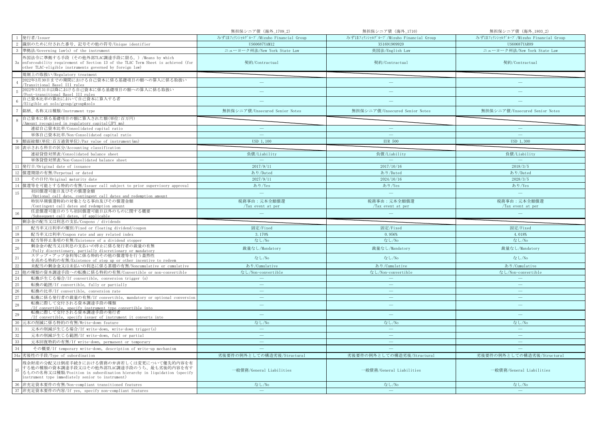|                 |                                                                                                                                                                                                                       | 無担保シニア債 (海外_1709_2)                   | 無担保シニア債 (海外_1710)                     | 無担保シニア債 (海外_1803_2)                   |
|-----------------|-----------------------------------------------------------------------------------------------------------------------------------------------------------------------------------------------------------------------|---------------------------------------|---------------------------------------|---------------------------------------|
|                 | 1 発行者/Issuer                                                                                                                                                                                                          | みずほフィナンシャルグループ/Mizuho Financial Group | みずほフィナンシャルグループ/Mizuho Financial Group | みずほフィナンシャルグループ/Mizuho Financial Group |
| 2               | 識別のために付された番号、記号その他の符号/Unique identifier                                                                                                                                                                               | US60687YAM12                          | XS1691909920                          | US60687YAR09                          |
|                 | 準拠法/Governing law(s) of the instrument                                                                                                                                                                                | ニューヨーク州法/New York State Law           | 英国法/English Law                       | ニューヨーク州法/New York State Law           |
| 3a              | 外国法令に準拠する手段(その他外部TLAC調達手段に限る。)/Means by which<br>enforceability requirement of Section 13 of the TLAC Term Sheet is achieved (for<br>other TLAC-eligible instruments governed by foreign law)                         | 契約/Contractual                        | 契約/Contractual                        | 契約/Contractual                        |
|                 | 規制上の取扱い/Regulatory treatment                                                                                                                                                                                          |                                       |                                       |                                       |
|                 | 2022年3月30日までの期間における自己資本に係る基礎項目の額への算入に係る取扱い<br>Transitional Basel III rules                                                                                                                                            | $\frac{1}{2}$                         | $\qquad \qquad -$                     |                                       |
|                 | 2022年3月31日以降における自己資本に係る基礎項目の額への算入に係る取扱い<br>Post-transitional Basel III rules                                                                                                                                          |                                       |                                       |                                       |
|                 | 自己資本比率の算出において自己資本に算入する者<br>/Eligible at solo/group/group&solo                                                                                                                                                         |                                       |                                       |                                       |
|                 | 銘柄、名称又は種類/Instrument type                                                                                                                                                                                             | 無担保シニア債/Unsecured Senior Notes        | 無担保シニア債/Unsecured Senior Notes        | 無担保シニア債/Unsecured Senior Notes        |
|                 | 自己資本に係る基礎項目の額に算入された額(単位:百万円)<br>Amount recognised in regulatory capital (JPY mn)                                                                                                                                      |                                       |                                       |                                       |
|                 | 連結自己資本比率/Consolidated capital ratio                                                                                                                                                                                   | $\overline{\phantom{m}}$              | $\overline{\phantom{m}}$              | $\qquad \qquad -$                     |
|                 | 単体自己資本比率/Non-Consolidated capital ratio                                                                                                                                                                               | $\sim$                                | <b>College</b>                        | ш.                                    |
|                 | 額面総額(単位:百万通貨単位)/Par value of instrument(mn)                                                                                                                                                                           | USD 1,100                             | <b>EUR 500</b>                        | USD 1,300                             |
| 10              | 表示される科目の区分/Accounting classification                                                                                                                                                                                  |                                       |                                       |                                       |
|                 | 連結貸借対照表/Consolidated balance sheet                                                                                                                                                                                    | 負債/Liability                          | 負債/Liability                          | 負債/Liability                          |
|                 | 単体貸借対照表/Non-Consolidated balance sheet                                                                                                                                                                                |                                       |                                       |                                       |
| 11              | 発行日/Original date of issuance                                                                                                                                                                                         | 2017/9/11                             | 2017/10/16                            | 2018/3/5                              |
|                 | 12 償還期限の有無/Perpetual or dated                                                                                                                                                                                         | あり/Dated                              | あり/Dated                              | あり/Dated                              |
| 13              | その日付/Original maturity date                                                                                                                                                                                           | 2027/9/11                             | 2024/10/16                            | 2028/3/5                              |
|                 | 14 償還等を可能とする特約の有無/Issuer call subject to prior supervisory approval                                                                                                                                                   | あり/Yes                                | あり/Yes                                | あり/Yes                                |
| 15              | 初回償還可能日及びその償還金額<br>/Optional call date, contingent call dates and redemption amount                                                                                                                                   | $\equiv$                              | $\equiv$                              | $\overline{\phantom{m}}$              |
|                 | 特別早期償還特約の対象となる事由及びその償還金額                                                                                                                                                                                              | 税務事由:元本全額償還                           | 税務事由:元本全額償還                           | 税務事由:元本全額償還                           |
|                 | /Contingent call dates and redemption amount                                                                                                                                                                          | /Tax event at per                     | /Tax event at per                     | /Tax event at per                     |
|                 | 任意償還可能日のうち初回償還可能日以外のものに関する概要                                                                                                                                                                                          |                                       |                                       |                                       |
| 16              | /Subsequent call dates, if applicable                                                                                                                                                                                 |                                       |                                       |                                       |
|                 | 剰余金の配当又は利息の支払/Coupons / dividends                                                                                                                                                                                     |                                       |                                       |                                       |
| 17              | 配当率又は利率の種別/Fixed or floating dividend/coupon                                                                                                                                                                          | 固定/Fixed                              | 固定/Fixed                              | 固定/Fixed                              |
| 18              | 配当率又は利率/Coupon rate and any related index                                                                                                                                                                             | 3.170%                                | 0.956%                                | 4.018%                                |
| 19              | 配当等停止条項の有無/Existence of a dividend stopper                                                                                                                                                                            | なし/No                                 | なし/No                                 | なし/No                                 |
| 20              | 剰余金の配当又は利息の支払いの停止に係る発行者の裁量の有無<br>/Fully discretionary, partially discretionary or mandatory                                                                                                                           | 裁量なし/Mandatory                        | 裁量なし/Mandatory                        | 裁量なし/Mandatory                        |
| $\overline{21}$ | ステップ・アップ金利等に係る特約その他の償還等を行う蓋然性                                                                                                                                                                                         | なし/No                                 | なし/No                                 | なし/No                                 |
| $22\,$          | を高める特約の有無/Existence of step up or other incentive to redeem<br>未配当の剰余金又は未払いの利息に係る累積の有無/Noncumulative or cumulative                                                                                                    | あり/Cumulative                         | あり/Cumulative                         | あり/Cumulative                         |
| 23              | 他の種類の資本調達手段への転換に係る特約の有無/Convertible or non-convertible                                                                                                                                                                | なし/Non-convertible                    | なし/Non-convertible                    | なし/Non-convertible                    |
| 24              | 転換が生じる場合/If convertible, conversion trigger (s)                                                                                                                                                                       | $\sim$                                |                                       | $\sim$                                |
| 25              | 転換の範囲/If convertible, fully or partially                                                                                                                                                                              | $\overline{\phantom{a}}$              | $\overline{\phantom{m}}$              | $\equiv$                              |
| 26              | 転換の比率/If convertible, conversion rate                                                                                                                                                                                 | $\overline{\phantom{a}}$              | L.                                    | $\equiv$                              |
| 27              | 転換に係る発行者の裁量の有無/If convertible, mandatory or optional conversion                                                                                                                                                       | $\overline{\phantom{a}}$              | $\qquad \qquad -$                     | $\overline{\phantom{m}}$              |
| 28              | 転換に際して交付される資本調達手段の種類<br>/If convertible, specify instrument type convertible into                                                                                                                                     | $\equiv$                              | $\equiv$                              | $\qquad \qquad -$                     |
| 29              | 転換に際して交付される資本調達手段の発行者<br>/If convertible, specify issuer of instrument it converts into                                                                                                                               | ц.                                    | ÷                                     | $\equiv$                              |
| 30              | 元本の削減に係る特約の有無/Write-down feature                                                                                                                                                                                      | なし/No                                 | なし/No                                 | なし/No                                 |
| 31              | 元本の削減が生じる場合/If write-down, write-down trigger(s)                                                                                                                                                                      | $\hspace{0.1mm}-\hspace{0.1mm}$       | $\longrightarrow$                     | $\overline{\phantom{a}}$              |
| 32              | 元本の削減が生じる範囲/If write-down, full or partial                                                                                                                                                                            | ш.                                    | $\equiv$                              | $\equiv$                              |
| 33              | 元本回復特約の有無/If write-down, permanent or temporary                                                                                                                                                                       |                                       |                                       | 二                                     |
| 34              | その概要/If temporary write-down, description of write-up mechanism                                                                                                                                                       |                                       |                                       |                                       |
|                 | 34a 劣後性の手段/Type of subordination                                                                                                                                                                                      | 劣後要件の例外としての構造劣後/Structural            | 劣後要件の例外としての構造劣後/Structural            | 劣後要件の例外としての構造劣後/Structural            |
| 35              | 残余財産の分配又は倒産手続きにおける債務の弁済若しくは変更について優先的内容を有<br>する他の種類の資本調達手段又はその他外部TLAC調達手段のうち、最も劣後的内容を有す<br>るものの名称又は種類/Position in subordination hierarchy in liquidation (specify<br>instrument type immediately senior to instrument) | 一般債務/General Liabilities              | 一般債務/General Liabilities              | 一般債務/General Liabilities              |
|                 | 36 非充足資本要件の有無/Non-compliant transitioned features<br>37 非充足資本要件の内容/If yes, specify non-compliant features                                                                                                             | なし/No<br>$\sim$                       | なし/No<br>$\equiv$                     | なし/No<br>$\equiv$                     |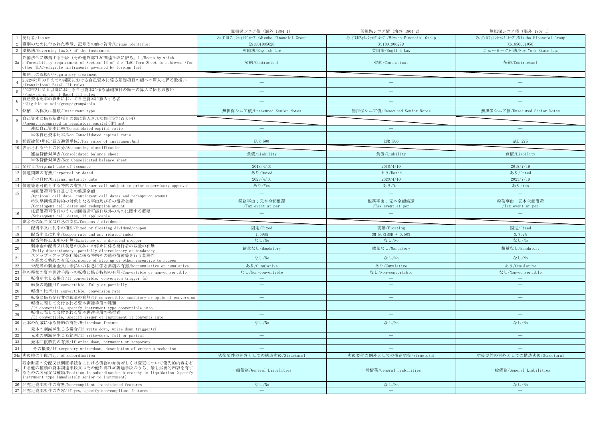|                 |                                                                                                                                                                                                                       | 無担保シニア債 (海外_1804_1)                   | 無担保シニア債 (海外_1804_2)                   | 無担保シニア債 (海外_1807_1)                   |
|-----------------|-----------------------------------------------------------------------------------------------------------------------------------------------------------------------------------------------------------------------|---------------------------------------|---------------------------------------|---------------------------------------|
|                 | 発行者/Issuer                                                                                                                                                                                                            | みずほフィナンシャルグループ/Mizuho Financial Group | みずほフィナンシャルグループ/Mizuho Financial Group | みずほフィナンシャルグループ/Mizuho Financial Group |
|                 | 識別のために付された番号、記号その他の符号/Unique identifier                                                                                                                                                                               | XS1801905628                          | XS1801906279                          | XS1856031056                          |
|                 | 準拠法/Governing law(s) of the instrument                                                                                                                                                                                | 英国法/English Law                       | 英国法/English Law                       | ニューヨーク州法/New York State Law           |
| 3a              | 外国法令に準拠する手段(その他外部TLAC調達手段に限る。)/Means by which<br>enforceability requirement of Section 13 of the TLAC Term Sheet is achieved (for<br>other TLAC-eligible instruments governed by foreign law)                         | 契約/Contractual                        | 契約/Contractual                        | 契約/Contractual                        |
|                 | 規制上の取扱い/Regulatory treatment                                                                                                                                                                                          |                                       |                                       |                                       |
|                 | 2022年3月30日までの期間における自己資本に係る基礎項目の額への算入に係る取扱い<br>Transitional Basel III rules                                                                                                                                            | $\equiv$                              |                                       |                                       |
|                 | 2022年3月31日以降における自己資本に係る基礎項目の額への算入に係る取扱い<br>Post-transitional Basel III rules                                                                                                                                          |                                       | ÷                                     |                                       |
|                 | 自己資本比率の算出において自己資本に算入する者<br>/Eligible at solo/group/group&solo                                                                                                                                                         |                                       |                                       |                                       |
|                 | 銘柄、名称又は種類/Instrument type                                                                                                                                                                                             | 無担保シニア債/Unsecured Senior Notes        | 無担保シニア債/Unsecured Senior Notes        | 無担保シニア債/Unsecured Senior Notes        |
|                 | 自己資本に係る基礎項目の額に算入された額(単位:百万円)<br>Amount recognised in regulatory capital (JPY mn)                                                                                                                                      |                                       |                                       |                                       |
|                 | 連結自己資本比率/Consolidated capital ratio                                                                                                                                                                                   |                                       |                                       |                                       |
|                 | 単体自己資本比率/Non-Consolidated capital ratio                                                                                                                                                                               | $\sim$                                | $\sim$                                | Ц.                                    |
|                 | 9 額面総額(単位:百万通貨単位)/Par value of instrument(mn)                                                                                                                                                                         | <b>EUR 500</b>                        | <b>EUR 500</b>                        | AUD 275                               |
|                 | 表示される科目の区分/Accounting classification                                                                                                                                                                                  |                                       |                                       |                                       |
|                 | 連結貸借対照表/Consolidated balance sheet                                                                                                                                                                                    | 負債/Liability                          | 負債/Liability                          | 負債/Liability                          |
|                 | 単体貸借対照表/Non-Consolidated balance sheet                                                                                                                                                                                |                                       |                                       |                                       |
| 11              | 発行日/Original date of issuance                                                                                                                                                                                         | 2018/4/10                             | 2018/4/10                             | 2018/7/19                             |
| 12              | 償還期限の有無/Perpetual or dated                                                                                                                                                                                            | あり/Dated                              | あり/Dated                              | あり/Dated                              |
| 13              | その日付/Original maturity date                                                                                                                                                                                           | 2028/4/10                             | 2023/4/10                             | 2023/7/19                             |
|                 | 14 償還等を可能とする特約の有無/Issuer call subject to prior supervisory approval                                                                                                                                                   | あり/Yes                                | あり/Yes                                | あり/Yes                                |
| 15              | 初回償還可能日及びその償還金額                                                                                                                                                                                                       | $\equiv$                              | $\equiv$                              | $\equiv$                              |
|                 | /Optional call date, contingent call dates and redemption amount<br>特別早期償還特約の対象となる事由及びその償還金額                                                                                                                          | 税務事由:元本全額償還                           | 税務事由:元本全額償還                           | 税務事由:元本全額償還                           |
|                 | /Contingent call dates and redemption amount                                                                                                                                                                          | /Tax event at per                     | /Tax event at per                     | /Tax event at per                     |
|                 | 任意償還可能日のうち初回償還可能日以外のものに関する概要                                                                                                                                                                                          | سن                                    |                                       |                                       |
| 16              | /Subsequent call dates, if applicable                                                                                                                                                                                 |                                       |                                       |                                       |
|                 | 剰余金の配当又は利息の支払/Coupons / dividends                                                                                                                                                                                     |                                       |                                       |                                       |
| 17              | 配当率又は利率の種別/Fixed or floating dividend/coupon                                                                                                                                                                          | 固定/Fixed                              | 変動/Floating                           | 固定/Fixed                              |
| 18              | 配当率又は利率/Coupon rate and any related index                                                                                                                                                                             | 1.598%                                | 3M EURIBOR + 0.50%                    | 3.752%                                |
| 19              | 配当等停止条項の有無/Existence of a dividend stopper                                                                                                                                                                            | なし/No                                 | なし/No                                 | なし/No                                 |
| 20              | 剰余金の配当又は利息の支払いの停止に係る発行者の裁量の有無<br>/Fully discretionary, partially discretionary or mandatory                                                                                                                           | 裁量なし/Mandatory                        | 裁量なし/Mandatory                        | 裁量なし/Mandatory                        |
| $\overline{21}$ | ステップ・アップ金利等に係る特約その他の償還等を行う蓋然性<br>を高める特約の有無/Existence of step up or other incentive to redeem                                                                                                                          | なし/No                                 | なし/No                                 | なし/No                                 |
| 22              | 未配当の剰余金又は未払いの利息に係る累積の有無/Noncumulative or cumulative                                                                                                                                                                   | あり/Cumulative                         | あり/Cumulative                         | あり/Cumulative                         |
| 23              | 他の種類の資本調達手段への転換に係る特約の有無/Convertible or non-convertible                                                                                                                                                                | なし/Non-convertible                    | なし/Non-convertible                    | なし/Non-convertible                    |
| 24              | 転換が生じる場合/If convertible, conversion trigger (s)                                                                                                                                                                       | $\sim$                                | <u>—</u>                              | $\equiv$                              |
| 25              | 転換の範囲/If convertible, fully or partially                                                                                                                                                                              | $\overline{\phantom{m}}$              | $\equiv$                              | $\overline{\phantom{m}}$              |
| 26              | 転換の比率/If convertible, conversion rate                                                                                                                                                                                 | ц.                                    | <u>—</u>                              | ц.                                    |
| 27              | 転換に係る発行者の裁量の有無/If convertible, mandatory or optional conversion<br>転換に際して交付される資本調達手段の種類                                                                                                                               | $\overline{\phantom{a}}$              | $\frac{1}{2}$                         | $\frac{1}{2}$                         |
| 28              | /If convertible, specify instrument type convertible into<br>転換に際して交付される資本調達手段の発行者                                                                                                                                    | $\sim$                                | ш.                                    | $\equiv$                              |
| 29              | /If convertible, specify issuer of instrument it converts into                                                                                                                                                        |                                       |                                       |                                       |
| -30             | 元本の削減に係る特約の有無/Write-down feature                                                                                                                                                                                      | なし/No                                 | なし/No                                 | なし/No                                 |
| 31              | 元本の削減が生じる場合/If write-down, write-down trigger(s)                                                                                                                                                                      | $\overline{\phantom{a}}$<br>$\equiv$  | $\overline{\phantom{a}}$<br>$\equiv$  | $\overline{\phantom{m}}$<br>Ц.        |
| 32              | 元本の削減が生じる範囲/If write-down, full or partial                                                                                                                                                                            |                                       | ÷                                     | ÷.                                    |
| 33              | 元本回復特約の有無/If write-down, permanent or temporary                                                                                                                                                                       |                                       |                                       |                                       |
| 34              | その概要/If temporary write-down, description of write-up mechanism                                                                                                                                                       |                                       |                                       |                                       |
|                 | 34a 劣後性の手段/Type of subordination                                                                                                                                                                                      | 劣後要件の例外としての構造劣後/Structural            | 劣後要件の例外としての構造劣後/Structural            | 劣後要件の例外としての構造劣後/Structural            |
| 35              | 残余財産の分配又は倒産手続きにおける債務の弁済若しくは変更について優先的内容を有<br>する他の種類の資本調達手段又はその他外部TLAC調達手段のうち、最も劣後的内容を有す<br>るものの名称又は種類/Position in subordination hierarchy in liquidation (specify<br>instrument type immediately senior to instrument) | 一般債務/General Liabilities              | 一般債務/General Liabilities              | 一般債務/General Liabilities              |
|                 | 36 非充足資本要件の有無/Non-compliant transitioned features<br>37 非充足資本要件の内容/If yes, specify non-compliant features                                                                                                             | なし/No<br>$\sim$                       | なし/No<br>$\equiv$                     | なし/No<br>$\equiv$                     |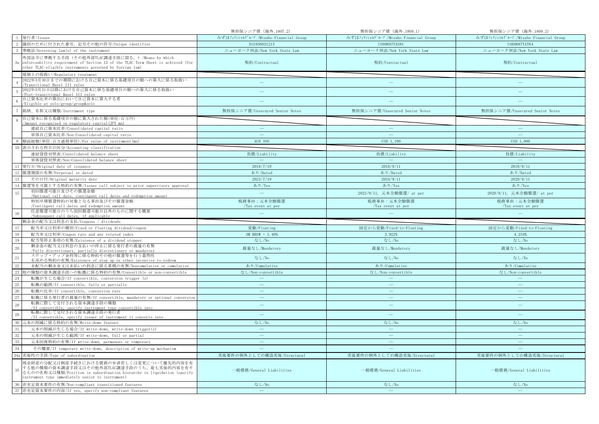|                 |                                                                                                                                                                                                                       | 無担保シニア債 (海外_1807_2)                   | 無担保シニア債 (海外_1809_1)                   | 無担保シニア債 (海外_1809_2)                   |
|-----------------|-----------------------------------------------------------------------------------------------------------------------------------------------------------------------------------------------------------------------|---------------------------------------|---------------------------------------|---------------------------------------|
|                 | 1 発行者/Issuer                                                                                                                                                                                                          | みずほフィナンシャルグループ/Mizuho Financial Group | みずほフィナンシャルグループ/Mizuho Financial Group | みずほフィナンシャルグループ/Mizuho Financial Group |
| 2               | 識別のために付された番号、記号その他の符号/Unique identifier                                                                                                                                                                               | XS1856031213                          | US60687YAS81                          | US60687YAT64                          |
|                 | 準拠法/Governing law(s) of the instrument                                                                                                                                                                                | ニューヨーク州法/New York State Law           | ニューヨーク州法/New York State Law           | ニューヨーク州法/New York State Law           |
| 3a              | 外国法令に準拠する手段(その他外部TLAC調達手段に限る。)/Means by which<br>enforceability requirement of Section 13 of the TLAC Term Sheet is achieved (for<br>other TLAC-eligible instruments governed by foreign law)                         | 契約/Contractual                        | 契約/Contractual                        | 契約/Contractual                        |
|                 | 規制上の取扱い/Regulatory treatment                                                                                                                                                                                          |                                       |                                       |                                       |
|                 | 2022年3月30日までの期間における自己資本に係る基礎項目の額への算入に係る取扱い<br>Transitional Basel III rules                                                                                                                                            | $\frac{1}{2}$                         | $\overline{\phantom{0}}$              |                                       |
|                 | 2022年3月31日以降における自己資本に係る基礎項目の額への算入に係る取扱い<br>Post-transitional Basel III rules                                                                                                                                          |                                       |                                       |                                       |
|                 | 自己資本比率の算出において自己資本に算入する者<br>/Eligible at solo/group/group&solo                                                                                                                                                         |                                       |                                       |                                       |
|                 | 銘柄、名称又は種類/Instrument type                                                                                                                                                                                             | 無担保シニア債/Unsecured Senior Notes        | 無担保シニア債/Unsecured Senior Notes        | 無担保シニア債/Unsecured Senior Notes        |
|                 | 自己資本に係る基礎項目の額に算入された額(単位:百万円)<br>/Amount recognised in regulatory capital (JPY mn)                                                                                                                                     |                                       |                                       |                                       |
|                 | 連結自己資本比率/Consolidated capital ratio                                                                                                                                                                                   | $\overline{\phantom{m}}$              | $\overline{\phantom{m}}$              | $\qquad \qquad -$                     |
|                 | 単体自己資本比率/Non-Consolidated capital ratio                                                                                                                                                                               | $\sim$                                | <b>College</b>                        | ш.                                    |
|                 | 額面総額(単位:百万通貨単位)/Par value of instrument(mn)                                                                                                                                                                           | AUD 350                               | USD 1, 100                            | USD 1,000                             |
| 10              | 表示される科目の区分/Accounting classification                                                                                                                                                                                  |                                       |                                       |                                       |
|                 | 連結貸借対照表/Consolidated balance sheet                                                                                                                                                                                    | 負債/Liability                          | 負債/Liability                          | 負債/Liability                          |
|                 | 単体貸借対照表/Non-Consolidated balance sheet                                                                                                                                                                                |                                       |                                       |                                       |
| 11              | 発行日/Original date of issuance                                                                                                                                                                                         | 2018/7/19                             | 2018/9/11                             | 2018/9/11                             |
|                 | 12 償還期限の有無/Perpetual or dated                                                                                                                                                                                         | あり/Dated                              | あり/Dated                              | あり/Dated                              |
| 13              | その日付/Original maturity date                                                                                                                                                                                           | 2023/7/19                             | 2024/9/11                             | 2029/9/11                             |
|                 | 14 償還等を可能とする特約の有無/Issuer call subject to prior supervisory approval                                                                                                                                                   | あり/Yes                                | あり/Yes                                | あり/Yes                                |
| 15              | 初回償還可能日及びその償還金額<br>/Optional call date, contingent call dates and redemption amount                                                                                                                                   | $\equiv$                              | 2023/9/11, 元本全額償還/ at per             | 2028/9/11, 元本全額償還/ at per             |
|                 | 特別早期償還特約の対象となる事由及びその償還金額                                                                                                                                                                                              | 税務事由:元本全額償還                           | 税務事由:元本全額償還                           | 税務事由:元本全額償還                           |
|                 | /Contingent call dates and redemption amount                                                                                                                                                                          | /Tax event at per                     | /Tax event at per                     | /Tax event at per                     |
|                 | 任意償還可能日のうち初回償還可能日以外のものに関する概要                                                                                                                                                                                          |                                       |                                       |                                       |
| 16              | /Subsequent call dates, if applicable                                                                                                                                                                                 |                                       |                                       |                                       |
|                 | 剰余金の配当又は利息の支払/Coupons / dividends                                                                                                                                                                                     |                                       |                                       |                                       |
| 17              | 配当率又は利率の種別/Fixed or floating dividend/coupon                                                                                                                                                                          | 変動/Floating                           | 固定から変動/Fixed-to-Floating              | 固定から変動/Fixed-to-Floating              |
| 18              | 配当率又は利率/Coupon rate and any related index                                                                                                                                                                             | 3M BBSW + 1.40%                       | 3.922%                                | 4.254%                                |
| 19              | 配当等停止条項の有無/Existence of a dividend stopper                                                                                                                                                                            | なし/No                                 | なし/No                                 | なし/No                                 |
| 20              | 剰余金の配当又は利息の支払いの停止に係る発行者の裁量の有無<br>/Fully discretionary, partially discretionary or mandatory                                                                                                                           | 裁量なし/Mandatory                        | 裁量なし/Mandatory                        | 裁量なし/Mandatory                        |
| $\overline{21}$ | ステップ・アップ金利等に係る特約その他の償還等を行う蓋然性                                                                                                                                                                                         | なし/No                                 | なし/No                                 | なし/No                                 |
| $22\,$          | を高める特約の有無/Existence of step up or other incentive to redeem<br>未配当の剰余金又は未払いの利息に係る累積の有無/Noncumulative or cumulative                                                                                                    | あり/Cumulative                         | あり/Cumulative                         | あり/Cumulative                         |
| $23\,$          | 他の種類の資本調達手段への転換に係る特約の有無/Convertible or non-convertible                                                                                                                                                                | なし/Non-convertible                    | なし/Non-convertible                    | なし/Non-convertible                    |
| 24              | 転換が生じる場合/If convertible, conversion trigger (s)                                                                                                                                                                       | $\sim$                                |                                       | $\sim$                                |
| 25              | 転換の範囲/If convertible, fully or partially                                                                                                                                                                              | $\overline{\phantom{a}}$              | $\overline{\phantom{m}}$              | $\overline{\phantom{m}}$              |
| 26              | 転換の比率/If convertible, conversion rate                                                                                                                                                                                 | $\overline{\phantom{a}}$              | L.                                    | $\equiv$                              |
| 27              | 転換に係る発行者の裁量の有無/If convertible, mandatory or optional conversion                                                                                                                                                       | $\frac{1}{2}$                         | $\qquad \qquad -$                     | $\frac{1}{2}$                         |
| 28              | 転換に際して交付される資本調達手段の種類<br>/If convertible, specify instrument type convertible into                                                                                                                                     | $\frac{1}{2}$                         | $\equiv$                              | $\frac{1}{2}$                         |
| 29              | 転換に際して交付される資本調達手段の発行者<br>/If convertible, specify issuer of instrument it converts into                                                                                                                               | ц.                                    | ÷                                     | $\sim$                                |
| 30              | 元本の削減に係る特約の有無/Write-down feature                                                                                                                                                                                      | なし/No                                 | なし/No                                 | なし/No                                 |
| 31              | 元本の削減が生じる場合/If write-down, write-down trigger(s)                                                                                                                                                                      | $\hspace{0.1mm}-\hspace{0.1mm}$       | $\longrightarrow$                     | $\overline{\phantom{m}}$              |
| 32              | 元本の削減が生じる範囲/If write-down, full or partial                                                                                                                                                                            | ш.                                    | $\equiv$                              | ш.                                    |
| 33              | 元本回復特約の有無/If write-down, permanent or temporary                                                                                                                                                                       |                                       |                                       | <u>in</u>                             |
| 34              | その概要/If temporary write-down, description of write-up mechanism                                                                                                                                                       |                                       |                                       |                                       |
|                 | 34a 劣後性の手段/Type of subordination                                                                                                                                                                                      | 劣後要件の例外としての構造劣後/Structural            | 劣後要件の例外としての構造劣後/Structural            | 劣後要件の例外としての構造劣後/Structural            |
| 35              | 残余財産の分配又は倒産手続きにおける債務の弁済若しくは変更について優先的内容を有<br>する他の種類の資本調達手段又はその他外部TLAC調達手段のうち、最も劣後的内容を有す<br>るものの名称又は種類/Position in subordination hierarchy in liquidation (specify<br>instrument type immediately senior to instrument) | 一般債務/General Liabilities              | 一般債務/General Liabilities              | 一般債務/General Liabilities              |
|                 | 36 非充足資本要件の有無/Non-compliant transitioned features<br>37 非充足資本要件の内容/If yes, specify non-compliant features                                                                                                             | なし/No<br>$\sim$                       | なし/No<br>$\equiv$                     | なし/No<br>$\equiv$                     |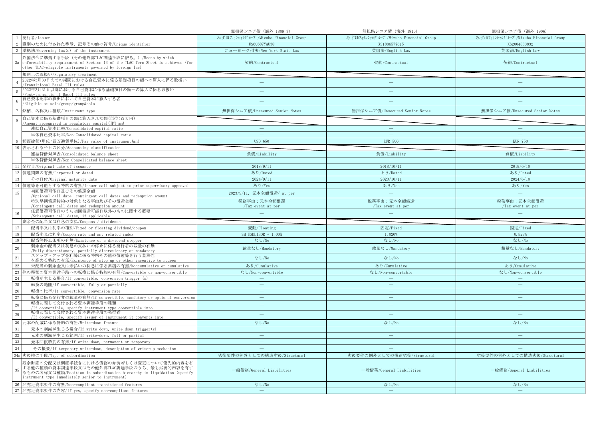|                 |                                                                                                           | 無担保シニア債 (海外_1809_3)                   | 無担保シニア債 (海外_1810)                     | 無担保シニア債 (海外_1906)                     |
|-----------------|-----------------------------------------------------------------------------------------------------------|---------------------------------------|---------------------------------------|---------------------------------------|
|                 | 発行者/Issuer                                                                                                | みずほフィナンシャルグループ/Mizuho Financial Group | みずほフィナンシャルグループ/Mizuho Financial Group | みずほフィナンシャルグループ/Mizuho Financial Group |
|                 | 識別のために付された番号、記号その他の符号/Unique identifier                                                                   | US60687YAU38                          | XS1886577615                          | XS2004880832                          |
|                 | 準拠法/Governing law(s) of the instrument                                                                    | ニューヨーク州法/New York State Law           | 英国法/English Law                       | 英国法/English Law                       |
|                 | 外国法令に準拠する手段(その他外部TLAC調達手段に限る。)/Means by which                                                             |                                       |                                       |                                       |
| 3a              | enforceability requirement of Section 13 of the TLAC Term Sheet is achieved (for                          | 契約/Contractual                        | 契約/Contractual                        | 契約/Contractual                        |
|                 | other TLAC-eligible instruments governed by foreign law)                                                  |                                       |                                       |                                       |
|                 | 規制上の取扱い/Regulatory treatment                                                                              |                                       |                                       |                                       |
|                 | 2022年3月30日までの期間における自己資本に係る基礎項目の額への算入に係る取扱い                                                                | $\frac{1}{2}$                         |                                       |                                       |
|                 | Transitional Basel III rules<br>2022年3月31日以降における自己資本に係る基礎項目の額への算入に係る取扱い                                   |                                       |                                       |                                       |
|                 | Post-transitional Basel III rules                                                                         |                                       | ÷                                     |                                       |
|                 | 自己資本比率の算出において自己資本に算入する者                                                                                   |                                       |                                       |                                       |
|                 | /Eligible at solo/group/group&solo                                                                        |                                       |                                       |                                       |
|                 | 銘柄、名称又は種類/Instrument type                                                                                 | 無担保シニア債/Unsecured Senior Notes        | 無担保シニア債/Unsecured Senior Notes        | 無担保シニア債/Unsecured Senior Notes        |
|                 | 自己資本に係る基礎項目の額に算入された額(単位:百万円)                                                                              |                                       |                                       |                                       |
|                 | Amount recognised in regulatory capital (JPY mn)                                                          |                                       |                                       |                                       |
|                 | 連結自己資本比率/Consolidated capital ratio                                                                       |                                       |                                       |                                       |
|                 | 単体自己資本比率/Non-Consolidated capital ratio                                                                   | $\sim$                                | $\sim$                                |                                       |
|                 | 9 額面総額(単位:百万通貨単位)/Par value of instrument(mn)                                                             | <b>USD 650</b>                        | <b>EUR 500</b>                        | <b>EUR 750</b>                        |
|                 | 表示される科目の区分/Accounting classification                                                                      |                                       |                                       |                                       |
|                 | 連結貸借対照表/Consolidated balance sheet                                                                        | 負債/Liability                          | 負債/Liability                          | 負債/Liability                          |
|                 | 単体貸借対照表/Non-Consolidated balance sheet                                                                    |                                       |                                       |                                       |
| 11              | 発行日/Original date of issuance                                                                             | 2018/9/11                             | 2018/10/11                            | 2019/6/10                             |
| 12              | 償還期限の有無/Perpetual or dated                                                                                | あり/Dated                              | あり/Dated                              | あり/Dated                              |
| 13              | その日付/Original maturity date                                                                               | 2024/9/11                             | 2023/10/11                            | 2024/6/10                             |
|                 | 14 償還等を可能とする特約の有無/Issuer call subject to prior supervisory approval                                       | あり/Yes                                | あり/Yes                                | あり/Yes                                |
| 15              | 初回償還可能日及びその償還金額                                                                                           | 2023/9/11, 元本全額償還/ at per             | $\equiv$                              | $\equiv$                              |
|                 | /Optional call date, contingent call dates and redemption amount<br>特別早期償還特約の対象となる事由及びその償還金額              | 税務事由:元本全額償還                           | 税務事由:元本全額償還                           | 税務事由:元本全額償還                           |
|                 | /Contingent call dates and redemption amount                                                              | /Tax event at per                     | /Tax event at per                     | /Tax event at per                     |
|                 | 任意償還可能日のうち初回償還可能日以外のものに関する概要                                                                              |                                       |                                       |                                       |
|                 |                                                                                                           |                                       |                                       |                                       |
| 16              | /Subsequent call dates, if applicable                                                                     |                                       |                                       |                                       |
|                 | 剰余金の配当又は利息の支払/Coupons / dividends                                                                         |                                       |                                       |                                       |
| 17              | 配当率又は利率の種別/Fixed or floating dividend/coupon                                                              | 変動/Floating                           | 固定/Fixed                              | 固定/Fixed                              |
| 18              | 配当率又は利率/Coupon rate and any related index                                                                 | 3M USDLIBOR + 1.00%                   | 1.020%                                | 0.523%                                |
| 19              | 配当等停止条項の有無/Existence of a dividend stopper                                                                | なし/No                                 | なし/No                                 | なし/No                                 |
| 20              | 剰余金の配当又は利息の支払いの停止に係る発行者の裁量の有無                                                                             | 裁量なし/Mandatory                        | 裁量なし/Mandatory                        | 裁量なし/Mandatory                        |
|                 | /Fully discretionary, partially discretionary or mandatory<br>ステップ・アップ金利等に係る特約その他の償還等を行う蓋然性               |                                       |                                       |                                       |
| $\overline{21}$ | を高める特約の有無/Existence of step up or other incentive to redeem                                               | なし/No                                 | なし/No                                 | なし/No                                 |
| $22\,$          | 未配当の剰余金又は未払いの利息に係る累積の有無/Noncumulative or cumulative                                                       | あり/Cumulative                         | あり/Cumulative                         | あり/Cumulative                         |
| 23              | 他の種類の資本調達手段への転換に係る特約の有無/Convertible or non-convertible                                                    | なし/Non-convertible                    | なし/Non-convertible                    | なし/Non-convertible                    |
| 24              | 転換が生じる場合/If convertible, conversion trigger (s)                                                           | $\overline{\phantom{a}}$              | ÷.                                    | $\equiv$                              |
| 25              | 転換の範囲/If convertible, fully or partially                                                                  | $\hspace{0.1mm}-\hspace{0.1mm}$       | $\equiv$                              | $\overline{\phantom{m}}$              |
| 26              | 転換の比率/If convertible, conversion rate                                                                     | ш.                                    | <u>—</u>                              | ц.                                    |
| 27              | 転換に係る発行者の裁量の有無/If convertible, mandatory or optional conversion                                           | $\frac{1}{2}$                         | $\frac{1}{2}$                         | $\frac{1}{2}$                         |
| 28              | 転換に際して交付される資本調達手段の種類                                                                                      |                                       |                                       |                                       |
|                 | /If convertible, specify instrument type convertible into<br>転換に際して交付される資本調達手段の発行者                        | $\sim$                                | ш.                                    | $\sim$                                |
| 29              | /If convertible, specify issuer of instrument it converts into                                            |                                       |                                       |                                       |
| -30             | 元本の削減に係る特約の有無/Write-down feature                                                                          | なし/No                                 | なし/No                                 | なし/No                                 |
| 31              | 元本の削減が生じる場合/If write-down, write-down trigger(s)                                                          | $\overline{\phantom{a}}$              | $\overline{\phantom{a}}$              | $\overline{\phantom{m}}$              |
| 32              | 元本の削減が生じる範囲/If write-down, full or partial                                                                | $\equiv$                              | $\equiv$                              | Ц.                                    |
| 33              | 元本回復特約の有無/If write-down, permanent or temporary                                                           |                                       | ÷                                     | ÷.                                    |
| 34              | その概要/If temporary write-down, description of write-up mechanism                                           |                                       |                                       |                                       |
|                 | 34a 劣後性の手段/Type of subordination                                                                          | 劣後要件の例外としての構造劣後/Structural            | 劣後要件の例外としての構造劣後/Structural            | 劣後要件の例外としての構造劣後/Structural            |
|                 | 残余財産の分配又は倒産手続きにおける債務の弁済若しくは変更について優先的内容を有                                                                  |                                       |                                       |                                       |
| 35              | する他の種類の資本調達手段又はその他外部TLAC調達手段のうち、最も劣後的内容を有す                                                                |                                       |                                       |                                       |
|                 | るものの名称又は種類/Position in subordination hierarchy in liquidation (specify                                    | 一般債務/General Liabilities              | 一般債務/General Liabilities              | 一般債務/General Liabilities              |
|                 | instrument type immediately senior to instrument)                                                         |                                       |                                       |                                       |
|                 | 36 非充足資本要件の有無/Non-compliant transitioned features<br>37 非充足資本要件の内容/If yes, specify non-compliant features | なし/No<br>$\sim$                       | なし/No<br>$\equiv$                     | なし/No<br>$\equiv$                     |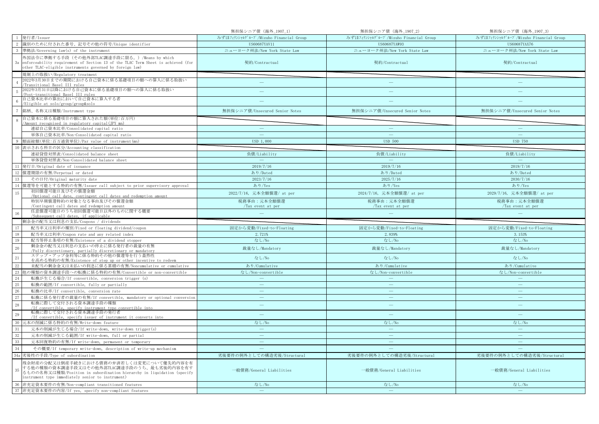|                 |                                                                                                                                                                                                                       | 無担保シニア債 (海外_1907_1)                   | 無担保シニア債 (海外_1907_2)                   | 無担保シニア債 (海外_1907_3)                   |
|-----------------|-----------------------------------------------------------------------------------------------------------------------------------------------------------------------------------------------------------------------|---------------------------------------|---------------------------------------|---------------------------------------|
|                 | 発行者/Issuer                                                                                                                                                                                                            | みずほフィナンシャルグループ/Mizuho Financial Group | みずほフィナンシャルグループ/Mizuho Financial Group | みずほフィナンシャルグループ/Mizuho Financial Group |
| 2               | 識別のために付された番号、記号その他の符号/Unique identifier                                                                                                                                                                               | US60687YAV11                          | US60687YAW93                          | US60687YAX76                          |
|                 | 準拠法/Governing law(s) of the instrument                                                                                                                                                                                | ニューヨーク州法/New York State Law           | ニューヨーク州法/New York State Law           | ニューヨーク州法/New York State Law           |
| 3a              | 外国法令に準拠する手段(その他外部TLAC調達手段に限る。)/Means by which<br>enforceability requirement of Section 13 of the TLAC Term Sheet is achieved (for<br>other TLAC-eligible instruments governed by foreign law)                         | 契約/Contractual                        | 契約/Contractual                        | 契約/Contractual                        |
|                 | 規制上の取扱い/Regulatory treatment                                                                                                                                                                                          |                                       |                                       |                                       |
|                 | 2022年3月30日までの期間における自己資本に係る基礎項目の額への算入に係る取扱い<br>Transitional Basel III rules                                                                                                                                            | $\overline{\phantom{m}}$              | $\overline{\phantom{0}}$              |                                       |
|                 | 2022年3月31日以降における自己資本に係る基礎項目の額への算入に係る取扱い<br>Post-transitional Basel III rules                                                                                                                                          |                                       |                                       |                                       |
|                 | 自己資本比率の算出において自己資本に算入する者<br>/Eligible at solo/group/group&solo                                                                                                                                                         |                                       |                                       |                                       |
|                 | 銘柄、名称又は種類/Instrument type                                                                                                                                                                                             | 無担保シニア債/Unsecured Senior Notes        | 無担保シニア債/Unsecured Senior Notes        | 無担保シニア債/Unsecured Senior Notes        |
|                 | 自己資本に係る基礎項目の額に算入された額(単位:百万円)<br>/Amount recognised in regulatory capital (JPY mn)                                                                                                                                     |                                       |                                       |                                       |
|                 | 連結自己資本比率/Consolidated capital ratio                                                                                                                                                                                   | $\overline{\phantom{m}}$              | $\overline{\phantom{m}}$              | $\qquad \qquad -$                     |
|                 | 単体自己資本比率/Non-Consolidated capital ratio                                                                                                                                                                               | $\sim$                                | <b>College</b>                        | ш.                                    |
|                 | 額面総額(単位:百万通貨単位)/Par value of instrument(mn)                                                                                                                                                                           | USD 1,000                             | <b>USD 500</b>                        | <b>USD 750</b>                        |
| 10              | 表示される科目の区分/Accounting classification                                                                                                                                                                                  |                                       |                                       |                                       |
|                 | 連結貸借対照表/Consolidated balance sheet                                                                                                                                                                                    | 負債/Liability                          | 負債/Liability                          | 負債/Liability                          |
|                 | 単体貸借対照表/Non-Consolidated balance sheet                                                                                                                                                                                |                                       |                                       |                                       |
| 11              | 発行日/Original date of issuance                                                                                                                                                                                         | 2019/7/16                             | 2019/7/16                             | 2019/7/16                             |
|                 | 12 償還期限の有無/Perpetual or dated                                                                                                                                                                                         | あり/Dated                              | あり/Dated                              | あり/Dated                              |
| <sup>13</sup>   | その日付/Original maturity date                                                                                                                                                                                           | 2023/7/16                             | 2025/7/16                             | 2030/7/16                             |
|                 | 14 償還等を可能とする特約の有無/Issuer call subject to prior supervisory approval                                                                                                                                                   | あり/Yes                                | あり/Yes                                | あり/Yes                                |
| 15              | 初回償還可能日及びその償還金額<br>/Optional call date, contingent call dates and redemption amount                                                                                                                                   | 2022/7/16, 元本全額償還/ at per             | 2024/7/16, 元本全額償還/ at per             | 2029/7/16, 元本全額償還/ at per             |
|                 | 特別早期償還特約の対象となる事由及びその償還金額                                                                                                                                                                                              | 税務事由:元本全額償還                           | 税務事由:元本全額償還                           | 税務事由:元本全額償還                           |
|                 | /Contingent call dates and redemption amount                                                                                                                                                                          | Tax event at per                      | /Tax event at per                     | /Tax event at per                     |
|                 | 任意償還可能日のうち初回償還可能日以外のものに関する概要                                                                                                                                                                                          |                                       |                                       |                                       |
| 16              | /Subsequent call dates, if applicable                                                                                                                                                                                 |                                       |                                       |                                       |
|                 | 剰余金の配当又は利息の支払/Coupons / dividends                                                                                                                                                                                     |                                       |                                       |                                       |
| 17              | 配当率又は利率の種別/Fixed or floating dividend/coupon                                                                                                                                                                          | 固定から変動/Fixed-to-Floating              | 固定から変動/Fixed-to-Floating              | 固定から変動/Fixed-to-Floating              |
| 18              | 配当率又は利率/Coupon rate and any related index                                                                                                                                                                             | 2.721%                                | 2.839%                                | 3.153%                                |
| 19              | 配当等停止条項の有無/Existence of a dividend stopper                                                                                                                                                                            | なし/No                                 | なし/No                                 | なし/No                                 |
| 20              | 剰余金の配当又は利息の支払いの停止に係る発行者の裁量の有無<br>/Fully discretionary, partially discretionary or mandatory                                                                                                                           | 裁量なし/Mandatory                        | 裁量なし/Mandatory                        | 裁量なし/Mandatory                        |
| $\overline{21}$ | ステップ・アップ金利等に係る特約その他の償還等を行う蓋然性                                                                                                                                                                                         | なし/No                                 | なし/No                                 | なし/No                                 |
| $22\,$          | を高める特約の有無/Existence of step up or other incentive to redeem<br>未配当の剰余金又は未払いの利息に係る累積の有無/Noncumulative or cumulative                                                                                                    | あり/Cumulative                         | あり/Cumulative                         | あり/Cumulative                         |
| $23\,$          | 他の種類の資本調達手段への転換に係る特約の有無/Convertible or non-convertible                                                                                                                                                                | なし/Non-convertible                    | なし/Non-convertible                    | なし/Non-convertible                    |
| 24              | 転換が生じる場合/If convertible, conversion trigger (s)                                                                                                                                                                       | $\sim$                                |                                       | $\sim$                                |
| 25              | 転換の範囲/If convertible, fully or partially                                                                                                                                                                              | $\overline{\phantom{a}}$              | $\overline{\phantom{m}}$              | $\overline{\phantom{m}}$              |
| 26              | 転換の比率/If convertible, conversion rate                                                                                                                                                                                 | $\overline{\phantom{a}}$              | L.                                    | Ц.                                    |
| 27              | 転換に係る発行者の裁量の有無/If convertible, mandatory or optional conversion                                                                                                                                                       | $\frac{1}{2}$                         | $\qquad \qquad -$                     | $\frac{1}{2}$                         |
| 28              | 転換に際して交付される資本調達手段の種類<br>/If convertible, specify instrument type convertible into                                                                                                                                     | $\frac{1}{2}$                         | $\equiv$                              | $\qquad \qquad -$                     |
| 29              | 転換に際して交付される資本調達手段の発行者<br>/If convertible, specify issuer of instrument it converts into                                                                                                                               | ц.                                    | ÷                                     | $\sim$                                |
| 30              | 元本の削減に係る特約の有無/Write-down feature                                                                                                                                                                                      | なし/No                                 | なし/No                                 | なし/No                                 |
| 31              | 元本の削減が生じる場合/If write-down, write-down trigger(s)                                                                                                                                                                      | $\hspace{0.1mm}-\hspace{0.1mm}$       | $\longrightarrow$                     | $\overline{\phantom{m}}$              |
| 32              | 元本の削減が生じる範囲/If write-down, full or partial                                                                                                                                                                            | ш.                                    | $\equiv$                              | ш.                                    |
| 33              | 元本回復特約の有無/If write-down, permanent or temporary                                                                                                                                                                       |                                       |                                       |                                       |
| 34              | その概要/If temporary write-down, description of write-up mechanism                                                                                                                                                       |                                       |                                       |                                       |
|                 | 34a 劣後性の手段/Type of subordination                                                                                                                                                                                      | 劣後要件の例外としての構造劣後/Structural            | 劣後要件の例外としての構造劣後/Structural            | 劣後要件の例外としての構造劣後/Structural            |
| 35              | 残余財産の分配又は倒産手続きにおける債務の弁済若しくは変更について優先的内容を有<br>する他の種類の資本調達手段又はその他外部TLAC調達手段のうち、最も劣後的内容を有す<br>るものの名称又は種類/Position in subordination hierarchy in liquidation (specify<br>instrument type immediately senior to instrument) | 一般債務/General Liabilities              | 一般債務/General Liabilities              | 一般債務/General Liabilities              |
|                 | 36 非充足資本要件の有無/Non-compliant transitioned features<br>37 非充足資本要件の内容/If yes, specify non-compliant features                                                                                                             | なし/No<br>$\sim$                       | なし/No<br>$\equiv$                     | なし/No<br>$\equiv$                     |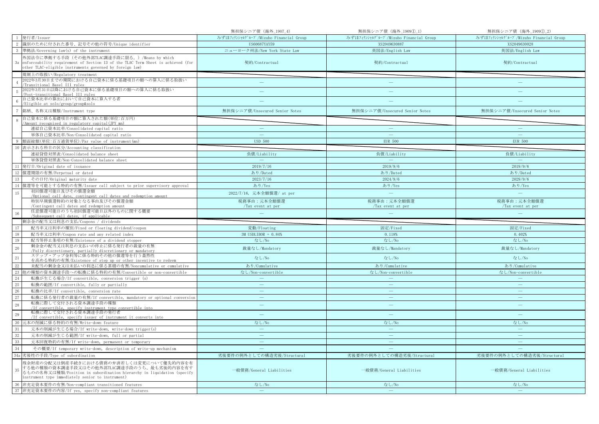|                 |                                                                                                                                                                                                                       | 無担保シニア債 (海外_1907_4)                   | 無担保シニア債 (海外_1909①_1)                  | 無担保シニア債 (海外_1909①_2)                  |
|-----------------|-----------------------------------------------------------------------------------------------------------------------------------------------------------------------------------------------------------------------|---------------------------------------|---------------------------------------|---------------------------------------|
|                 | 1 発行者/Issuer                                                                                                                                                                                                          | みずほフィナンシャルグループ/Mizuho Financial Group | みずほフィナンシャルグループ/Mizuho Financial Group | みずほフィナンシャルグループ/Mizuho Financial Group |
| 2               | 識別のために付された番号、記号その他の符号/Unique identifier                                                                                                                                                                               | US60687YAY59                          | XS2049630887                          | XS2049630028                          |
|                 | 準拠法/Governing law(s) of the instrument                                                                                                                                                                                | ニューヨーク州法/New York State Law           | 英国法/English Law                       | 英国法/English Law                       |
| 3a              | 外国法令に準拠する手段(その他外部TLAC調達手段に限る。)/Means by which<br>enforceability requirement of Section 13 of the TLAC Term Sheet is achieved (for<br>other TLAC-eligible instruments governed by foreign law)                         | 契約/Contractual                        | 契約/Contractual                        | 契約/Contractual                        |
|                 | 規制上の取扱い/Regulatory treatment                                                                                                                                                                                          |                                       |                                       |                                       |
|                 | 2022年3月30日までの期間における自己資本に係る基礎項目の額への算入に係る取扱い<br>Transitional Basel III rules                                                                                                                                            | $\frac{1}{2}$                         | $\overline{\phantom{0}}$              |                                       |
|                 | 2022年3月31日以降における自己資本に係る基礎項目の額への算入に係る取扱い<br>Post-transitional Basel III rules                                                                                                                                          |                                       |                                       |                                       |
|                 | 自己資本比率の算出において自己資本に算入する者<br>/Eligible at solo/group/group&solo                                                                                                                                                         |                                       |                                       |                                       |
|                 | 銘柄、名称又は種類/Instrument type                                                                                                                                                                                             | 無担保シニア債/Unsecured Senior Notes        | 無担保シニア債/Unsecured Senior Notes        | 無担保シニア債/Unsecured Senior Notes        |
|                 | 自己資本に係る基礎項目の額に算入された額(単位:百万円)<br>Amount recognised in regulatory capital (JPY mn)                                                                                                                                      |                                       |                                       |                                       |
|                 | 連結自己資本比率/Consolidated capital ratio                                                                                                                                                                                   | $\overline{\phantom{m}}$              | $\overline{\phantom{m}}$              | $\qquad \qquad -$                     |
|                 | 単体自己資本比率/Non-Consolidated capital ratio                                                                                                                                                                               | $\sim$                                | <b>College</b>                        | ш.                                    |
|                 | 額面総額(単位:百万通貨単位)/Par value of instrument(mn)                                                                                                                                                                           | <b>USD 500</b>                        | <b>EUR 500</b>                        | <b>EUR 500</b>                        |
| 10              | 表示される科目の区分/Accounting classification                                                                                                                                                                                  |                                       |                                       |                                       |
|                 | 連結貸借対照表/Consolidated balance sheet                                                                                                                                                                                    | 負債/Liability                          | 負債/Liability                          | 負債/Liability                          |
|                 | 単体貸借対照表/Non-Consolidated balance sheet                                                                                                                                                                                |                                       |                                       |                                       |
| 11              | 発行日/Original date of issuance                                                                                                                                                                                         | 2019/7/16                             | 2019/9/6                              | 2019/9/6                              |
|                 | 12 償還期限の有無/Perpetual or dated                                                                                                                                                                                         | あり/Dated                              | あり/Dated                              | あり/Dated                              |
| 13              | その日付/Original maturity date                                                                                                                                                                                           | 2023/7/16                             | 2024/9/6                              | 2029/9/6                              |
|                 | 14 償還等を可能とする特約の有無/Issuer call subject to prior supervisory approval                                                                                                                                                   | あり/Yes                                | あり/Yes                                | あり/Yes                                |
| 15              | 初回償還可能日及びその償還金額<br>/Optional call date, contingent call dates and redemption amount                                                                                                                                   | 2022/7/16, 元本全額償還/ at per             | $\equiv$                              | $\equiv$                              |
|                 | 特別早期償還特約の対象となる事由及びその償還金額                                                                                                                                                                                              | 税務事由:元本全額償還                           | 税務事由:元本全額償還                           | 税務事由:元本全額償還                           |
|                 | /Contingent call dates and redemption amount                                                                                                                                                                          | /Tax event at per                     | /Tax event at per                     | /Tax event at per                     |
|                 | 任意償還可能日のうち初回償還可能日以外のものに関する概要                                                                                                                                                                                          |                                       |                                       |                                       |
| 16              | /Subsequent call dates, if applicable                                                                                                                                                                                 |                                       |                                       |                                       |
|                 | 剰余金の配当又は利息の支払/Coupons / dividends                                                                                                                                                                                     |                                       |                                       |                                       |
| 17              | 配当率又は利率の種別/Fixed or floating dividend/coupon                                                                                                                                                                          | 変動/Floating                           | 固定/Fixed                              | 固定/Fixed                              |
| 18              | 配当率又は利率/Coupon rate and any related index                                                                                                                                                                             | 3M USDLIBOR + 0.84%                   | 0.118%                                | 0.402%                                |
| 19              | 配当等停止条項の有無/Existence of a dividend stopper                                                                                                                                                                            | なし/No                                 | なし/No                                 | なし/No                                 |
| 20              | 剰余金の配当又は利息の支払いの停止に係る発行者の裁量の有無<br>/Fully discretionary, partially discretionary or mandatory                                                                                                                           | 裁量なし/Mandatory                        | 裁量なし/Mandatory                        | 裁量なし/Mandatory                        |
| $\overline{21}$ | ステップ・アップ金利等に係る特約その他の償還等を行う蓋然性                                                                                                                                                                                         | なし/No                                 | なし/No                                 | なし/No                                 |
|                 | を高める特約の有無/Existence of step up or other incentive to redeem<br>未配当の剰余金又は未払いの利息に係る累積の有無/Noncumulative or cumulative                                                                                                    | あり/Cumulative                         | あり/Cumulative                         | あり/Cumulative                         |
| $22\,$<br>23    | 他の種類の資本調達手段への転換に係る特約の有無/Convertible or non-convertible                                                                                                                                                                | なし/Non-convertible                    | なし/Non-convertible                    | なし/Non-convertible                    |
| 24              | 転換が生じる場合/If convertible, conversion trigger (s)                                                                                                                                                                       | $\sim$                                |                                       | $\sim$                                |
| 25              | 転換の範囲/If convertible, fully or partially                                                                                                                                                                              | $\overline{\phantom{a}}$              | $\overline{\phantom{m}}$              | $\overline{\phantom{m}}$              |
| 26              | 転換の比率/If convertible, conversion rate                                                                                                                                                                                 | $\overline{\phantom{a}}$              | L.                                    | $\equiv$                              |
| 27              | 転換に係る発行者の裁量の有無/If convertible, mandatory or optional conversion                                                                                                                                                       | $\overline{\phantom{a}}$              | $\qquad \qquad -$                     | $\frac{1}{2}$                         |
| 28              | 転換に際して交付される資本調達手段の種類<br>/If convertible, specify instrument type convertible into                                                                                                                                     | $\frac{1}{2}$                         | $\equiv$                              | $\frac{1}{2}$                         |
| 29              | 転換に際して交付される資本調達手段の発行者<br>/If convertible, specify issuer of instrument it converts into                                                                                                                               | ц.                                    | ÷                                     | $\sim$                                |
| 30              | 元本の削減に係る特約の有無/Write-down feature                                                                                                                                                                                      | なし/No                                 | なし/No                                 | なし/No                                 |
| 31              | 元本の削減が生じる場合/If write-down, write-down trigger(s)                                                                                                                                                                      | $\hspace{0.1mm}-\hspace{0.1mm}$       | $\longrightarrow$                     | $\overline{\phantom{m}}$              |
| 32              | 元本の削減が生じる範囲/If write-down, full or partial                                                                                                                                                                            | ш.                                    | $\equiv$                              | ш.                                    |
| 33              | 元本回復特約の有無/If write-down, permanent or temporary                                                                                                                                                                       |                                       |                                       | 二                                     |
| 34              | その概要/If temporary write-down, description of write-up mechanism                                                                                                                                                       |                                       |                                       |                                       |
|                 | 34a 劣後性の手段/Type of subordination                                                                                                                                                                                      | 劣後要件の例外としての構造劣後/Structural            | 劣後要件の例外としての構造劣後/Structural            | 劣後要件の例外としての構造劣後/Structural            |
| 35              | 残余財産の分配又は倒産手続きにおける債務の弁済若しくは変更について優先的内容を有<br>する他の種類の資本調達手段又はその他外部TLAC調達手段のうち、最も劣後的内容を有す<br>るものの名称又は種類/Position in subordination hierarchy in liquidation (specify<br>instrument type immediately senior to instrument) | 一般債務/General Liabilities              | 一般債務/General Liabilities              | 一般債務/General Liabilities              |
|                 | 36 非充足資本要件の有無/Non-compliant transitioned features<br>37 非充足資本要件の内容/If yes, specify non-compliant features                                                                                                             | なし/No<br>$\sim$                       | なし/No<br>$\equiv$                     | なし/No<br>$\equiv$                     |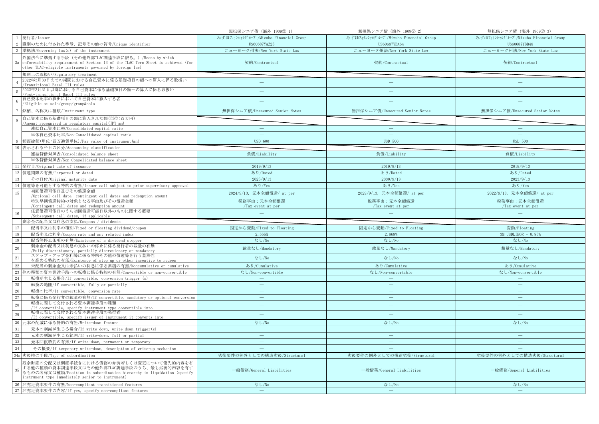|                 |                                                                                                                                                                                                                       | 無担保シニア債 (海外_19092)_1)                 | 無担保シニア債 (海外_190922)                   | 無担保シニア債 (海外_19092_3)                  |
|-----------------|-----------------------------------------------------------------------------------------------------------------------------------------------------------------------------------------------------------------------|---------------------------------------|---------------------------------------|---------------------------------------|
|                 | 1 発行者/Issuer                                                                                                                                                                                                          | みずほフィナンシャルグループ/Mizuho Financial Group | みずほフィナンシャルグループ/Mizuho Financial Group | みずほフィナンシャルグループ/Mizuho Financial Group |
| 2               | 識別のために付された番号、記号その他の符号/Unique identifier                                                                                                                                                                               | US60687YAZ25                          | US60687YBA64                          | US60687YBB48                          |
| -3              | 準拠法/Governing law(s) of the instrument                                                                                                                                                                                | ニューヨーク州法/New York State Law           | ニューヨーク州法/New York State Law           | ニューヨーク州法/New York State Law           |
|                 | 外国法令に準拠する手段(その他外部TLAC調達手段に限る。)/Means by which                                                                                                                                                                         |                                       |                                       |                                       |
| 3a              | enforceability requirement of Section 13 of the TLAC Term Sheet is achieved (for<br>other TLAC-eligible instruments governed by foreign law)                                                                          | 契約/Contractual                        | 契約/Contractual                        | 契約/Contractual                        |
|                 | 規制上の取扱い/Regulatory treatment                                                                                                                                                                                          |                                       |                                       |                                       |
|                 | 2022年3月30日までの期間における自己資本に係る基礎項目の額への算入に係る取扱い<br>Transitional Basel III rules                                                                                                                                            | $\overline{\phantom{a}}$              |                                       |                                       |
| -5              | 2022年3月31日以降における自己資本に係る基礎項目の額への算入に係る取扱い<br>Post-transitional Basel III rules                                                                                                                                          |                                       |                                       |                                       |
| $\mathbf{6}$    | 自己資本比率の算出において自己資本に算入する者<br>Eligible at solo/group/group&solo                                                                                                                                                          |                                       |                                       |                                       |
|                 | 銘柄、名称又は種類/Instrument type                                                                                                                                                                                             | 無担保シニア債/Unsecured Senior Notes        | 無担保シニア債/Unsecured Senior Notes        | 無担保シニア債/Unsecured Senior Notes        |
|                 | 自己資本に係る基礎項目の額に算入された額(単位:百万円)                                                                                                                                                                                          |                                       |                                       |                                       |
|                 | 'Amount recognised in regulatory capital(JPY mn)                                                                                                                                                                      |                                       |                                       |                                       |
|                 | 連結自己資本比率/Consolidated capital ratio                                                                                                                                                                                   |                                       | $\overline{\phantom{0}}$              | $\overline{\phantom{a}}$              |
|                 | 単体自己資本比率/Non-Consolidated capital ratio                                                                                                                                                                               |                                       |                                       |                                       |
|                 | 額面総額(単位:百万通貨単位)/Par value of instrument(mn)                                                                                                                                                                           | <b>USD 600</b>                        | <b>USD 500</b>                        | <b>USD 500</b>                        |
| 10              | 表示される科目の区分/Accounting classification                                                                                                                                                                                  |                                       |                                       |                                       |
|                 | 連結貸借対照表/Consolidated balance sheet                                                                                                                                                                                    | 負債/Liability                          | 負債/Liability                          | 負債/Liability                          |
|                 | 単体貸借対照表/Non-Consolidated balance sheet                                                                                                                                                                                |                                       |                                       |                                       |
| 11              | 発行日/Original date of issuance                                                                                                                                                                                         | 2019/9/13                             | 2019/9/13                             | 2019/9/13                             |
|                 | 12 償還期限の有無/Perpetual or dated                                                                                                                                                                                         | あり/Dated                              | あり/Dated                              | あり/Dated                              |
| 13              | その日付/Original maturity date                                                                                                                                                                                           | 2025/9/13                             | 2030/9/13                             | 2023/9/13                             |
|                 | 14 償還等を可能とする特約の有無/Issuer call subject to prior supervisory approval                                                                                                                                                   | あり/Yes                                | あり/Yes                                | あり/Yes                                |
| 15              | 初回償還可能日及びその償還金額                                                                                                                                                                                                       | 2024/9/13, 元本全額償還/ at per             | 2029/9/13, 元本全額償還/ at per             | 2022/9/13, 元本全額償還/ at per             |
|                 | /Optional call date, contingent call dates and redemption amount<br>特別早期償還特約の対象となる事由及びその償還金額                                                                                                                          | 税務事由:元本全額償還                           | 税務事由:元本全額償還                           | 税務事由:元本全額償還                           |
|                 | /Contingent call dates and redemption amount                                                                                                                                                                          | /Tax event at per                     | $\sqrt{T}$ ax event at per            | /Tax event at per                     |
|                 | 任意償還可能日のうち初回償還可能日以外のものに関する概要                                                                                                                                                                                          |                                       |                                       |                                       |
| $16\,$          |                                                                                                                                                                                                                       |                                       |                                       |                                       |
|                 | Subsequent call dates, if applicable                                                                                                                                                                                  |                                       |                                       |                                       |
| 17              | 剰余金の配当又は利息の支払/Coupons / dividends<br>配当率又は利率の種別/Fixed or floating dividend/coupon                                                                                                                                     |                                       |                                       | 変動/Floating                           |
| 18              | 配当率又は利率/Coupon rate and any related index                                                                                                                                                                             | 固定から変動/Fixed-to-Floating<br>2.555%    | 固定から変動/Fixed-to-Floating<br>2.869%    | 3M USDLIBOR + 0.85%                   |
| 19              | 配当等停止条項の有無/Existence of a dividend stopper                                                                                                                                                                            | なし/No                                 | なし/No                                 | なし/No                                 |
| 20              | 剰余金の配当又は利息の支払いの停止に係る発行者の裁量の有無                                                                                                                                                                                         | 裁量なし/Mandatory                        | 裁量なし/Mandatory                        | 裁量なし/Mandatory                        |
|                 | /Fully discretionary, partially discretionary or mandatory<br>ステップ・アップ金利等に係る特約その他の償還等を行う蓋然性                                                                                                                           | なし/No                                 | なし/No                                 | なし/No                                 |
| $\frac{1}{21}$  | を高める特約の有無/Existence of step up or other incentive to redeem                                                                                                                                                           |                                       |                                       |                                       |
|                 | 未配当の剰余金又は未払いの利息に係る累積の有無/Noncumulative or cumulative                                                                                                                                                                   | あり/Cumulative                         | あり/Cumulative                         | あり/Cumulative                         |
| $\frac{22}{23}$ | 他の種類の資本調達手段への転換に係る特約の有無/Convertible or non-convertible                                                                                                                                                                | なし/Non-convertible<br>$\frac{1}{2}$   | なし/Non-convertible<br>$\equiv$        | なし/Non-convertible<br>$\equiv$        |
| 24              | 転換が生じる場合/If convertible, conversion trigger (s)                                                                                                                                                                       | $\overline{\phantom{a}}$              | $\overline{\phantom{m}}$              | $\overline{\phantom{m}}$              |
| 25              | 転換の範囲/If convertible, fully or partially                                                                                                                                                                              | $\sim$                                | $\sim$                                | ц.                                    |
| 26              | 転換の比率/If convertible, conversion rate                                                                                                                                                                                 | $\frac{1}{2}$                         | $\frac{1}{2}$                         | $\frac{1}{2}$                         |
| 27              | 転換に係る発行者の裁量の有無/If convertible, mandatory or optional conversion<br>転換に際して交付される資本調達手段の種類                                                                                                                               |                                       |                                       |                                       |
| 28              | /If convertible, specify instrument type convertible into                                                                                                                                                             | $\equiv$                              | $\equiv$                              | $\qquad \qquad -$                     |
| 29              | 転換に際して交付される資本調達手段の発行者<br>/If convertible, specify issuer of instrument it converts into                                                                                                                               | $\equiv$                              | ÷                                     |                                       |
| 30              | 元本の削減に係る特約の有無/Write-down feature                                                                                                                                                                                      | なし/No                                 | なし/No                                 | なし/No                                 |
| 31              | 元本の削減が生じる場合/If write-down, write-down trigger(s)                                                                                                                                                                      | $\overline{\phantom{m}}$              | $\overline{\phantom{a}}$              | $\overline{\phantom{m}}$              |
| 32              | 元本の削減が生じる範囲/If write-down, full or partial                                                                                                                                                                            |                                       | ш.                                    | ц.                                    |
| 33              | 元本回復特約の有無/If write-down, permanent or temporary                                                                                                                                                                       |                                       |                                       |                                       |
| 34              | その概要/If temporary write-down, description of write-up mechanism                                                                                                                                                       |                                       |                                       |                                       |
|                 | 34a 劣後性の手段/Type of subordination                                                                                                                                                                                      | 劣後要件の例外としての構造劣後/Structural            | 劣後要件の例外としての構造劣後/Structural            | 劣後要件の例外としての構造劣後/Structural            |
| 35              | 残余財産の分配又は倒産手続きにおける債務の弁済若しくは変更について優先的内容を有<br>する他の種類の資本調達手段又はその他外部TLAC調達手段のうち、最も劣後的内容を有す<br>るものの名称又は種類/Position in subordination hierarchy in liquidation (specify<br>instrument type immediately senior to instrument) | 一般債務/General Liabilities              | 一般債務/General Liabilities              | 一般債務/General Liabilities              |
|                 | 36 非充足資本要件の有無/Non-compliant transitioned features<br>37 非充足資本要件の内容/If yes, specify non-compliant features                                                                                                             | なし/No<br>$\sim$                       | なし/No<br>$\sim$                       | なし/No<br>$\equiv$                     |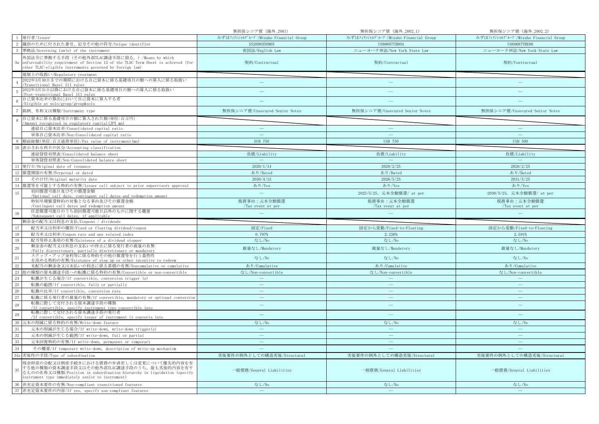|                 |                                                                                                                                                                                                                       | 無担保シニア債 (海外_2001)                     | 無担保シニア債 (海外_2002_1)                   | 無担保シニア債 (海外_2002_2)                   |
|-----------------|-----------------------------------------------------------------------------------------------------------------------------------------------------------------------------------------------------------------------|---------------------------------------|---------------------------------------|---------------------------------------|
|                 | 発行者/Issuer                                                                                                                                                                                                            | みずほフィナンシャルグループ/Mizuho Financial Group | みずほフィナンシャルグループ/Mizuho Financial Group | みずほフィナンシャルグループ/Mizuho Financial Group |
|                 | 識別のために付された番号、記号その他の符号/Unique identifier                                                                                                                                                                               | XS2098350965                          | US60687YBD04                          | US60687YBE86                          |
|                 | 準拠法/Governing law(s) of the instrument                                                                                                                                                                                | 英国法/English Law                       | ニューヨーク州法/New York State Law           | ニューヨーク州法/New York State Law           |
| 3a              | 外国法令に準拠する手段(その他外部TLAC調達手段に限る。)/Means by which<br>enforceability requirement of Section 13 of the TLAC Term Sheet is achieved (for<br>other TLAC-eligible instruments governed by foreign law)                         | 契約/Contractual                        | 契約/Contractual                        | 契約/Contractual                        |
|                 | 規制上の取扱い/Regulatory treatment                                                                                                                                                                                          |                                       |                                       |                                       |
|                 | 2022年3月30日までの期間における自己資本に係る基礎項目の額への算入に係る取扱い<br>Transitional Basel III rules                                                                                                                                            | $\frac{1}{2}$                         |                                       |                                       |
|                 | 2022年3月31日以降における自己資本に係る基礎項目の額への算入に係る取扱い<br>Post-transitional Basel III rules                                                                                                                                          |                                       |                                       |                                       |
|                 | 自己資本比率の算出において自己資本に算入する者<br>/Eligible at solo/group/group&solo                                                                                                                                                         |                                       |                                       |                                       |
|                 | 銘柄、名称又は種類/Instrument type                                                                                                                                                                                             | 無担保シニア債/Unsecured Senior Notes        | 無担保シニア債/Unsecured Senior Notes        | 無担保シニア債/Unsecured Senior Notes        |
|                 | 自己資本に係る基礎項目の額に算入された額(単位:百万円)<br>Amount recognised in regulatory capital (JPY mn)                                                                                                                                      |                                       |                                       |                                       |
|                 | 連結自己資本比率/Consolidated capital ratio                                                                                                                                                                                   |                                       |                                       |                                       |
|                 | 単体自己資本比率/Non-Consolidated capital ratio                                                                                                                                                                               | $\sim$                                | $\sim$                                |                                       |
|                 | 9 額面総額(単位:百万通貨単位)/Par value of instrument(mn)                                                                                                                                                                         | <b>EUR 750</b>                        | <b>USD 750</b>                        | <b>USD 500</b>                        |
|                 | 表示される科目の区分/Accounting classification                                                                                                                                                                                  |                                       |                                       |                                       |
|                 | 連結貸借対照表/Consolidated balance sheet                                                                                                                                                                                    | 負債/Liability                          | 負債/Liability                          | 負債/Liability                          |
|                 | 単体貸借対照表/Non-Consolidated balance sheet                                                                                                                                                                                |                                       |                                       |                                       |
| 11              | 発行日/Original date of issuance                                                                                                                                                                                         | 2020/1/14                             | 2020/2/25                             | 2020/2/25                             |
| 12              | 償還期限の有無/Perpetual or dated                                                                                                                                                                                            | あり/Dated                              | あり/Dated                              | あり/Dated                              |
| 13              | その日付/Original maturity date                                                                                                                                                                                           | 2030/4/15                             | 2026/5/25                             | 2031/5/25                             |
|                 | 14 償還等を可能とする特約の有無/Issuer call subject to prior supervisory approval                                                                                                                                                   | あり/Yes                                | あり/Yes                                | あり/Yes                                |
| 15              | 初回償還可能日及びその償還金額<br>/Optional call date, contingent call dates and redemption amount                                                                                                                                   | $\equiv$                              | 2025/5/25, 元本全額償還/ at per             | 2030/5/25, 元本全額償還/ at per             |
|                 | 特別早期償還特約の対象となる事由及びその償還金額                                                                                                                                                                                              | 税務事由:元本全額償還                           | 税務事由:元本全額償還                           | 税務事由:元本全額償還                           |
|                 | /Contingent call dates and redemption amount                                                                                                                                                                          | /Tax event at per                     | /Tax event at per                     | /Tax event at per                     |
|                 | 任意償還可能日のうち初回償還可能日以外のものに関する概要                                                                                                                                                                                          | سن                                    |                                       |                                       |
| 16              | /Subsequent call dates, if applicable                                                                                                                                                                                 |                                       |                                       |                                       |
|                 | 剰余金の配当又は利息の支払/Coupons / dividends                                                                                                                                                                                     |                                       |                                       |                                       |
| 17              | 配当率又は利率の種別/Fixed or floating dividend/coupon                                                                                                                                                                          | 固定/Fixed                              | 固定から変動/Fixed-to-Floating              | 固定から変動/Fixed-to-Floating              |
| 18              | 配当率又は利率/Coupon rate and any related index                                                                                                                                                                             | 0.797%                                | 2.226%                                | 2.591%                                |
| 19              | 配当等停止条項の有無/Existence of a dividend stopper                                                                                                                                                                            | なし/No                                 | なし/No                                 | なし/No                                 |
| 20              | 剰余金の配当又は利息の支払いの停止に係る発行者の裁量の有無<br>/Fully discretionary, partially discretionary or mandatory                                                                                                                           | 裁量なし/Mandatory                        | 裁量なし/Mandatory                        | 裁量なし/Mandatory                        |
| $\overline{21}$ | ステップ・アップ金利等に係る特約その他の償還等を行う蓋然性<br>を高める特約の有無/Existence of step up or other incentive to redeem                                                                                                                          | なし/No                                 | なし/No                                 | なし/No                                 |
| 22              | 未配当の剰余金又は未払いの利息に係る累積の有無/Noncumulative or cumulative                                                                                                                                                                   | あり/Cumulative                         | あり/Cumulative                         | あり/Cumulative                         |
| 23              | 他の種類の資本調達手段への転換に係る特約の有無/Convertible or non-convertible                                                                                                                                                                | なし/Non-convertible                    | なし/Non-convertible                    | なし/Non-convertible                    |
| 24              | 転換が生じる場合/If convertible, conversion trigger (s)                                                                                                                                                                       | $\overline{\phantom{a}}$              | ÷.                                    | $\overline{\phantom{a}}$              |
| 25              | 転換の範囲/If convertible, fully or partially                                                                                                                                                                              | $\hspace{0.1mm}-\hspace{0.1mm}$       | $\equiv$                              | $\equiv$                              |
| 26              | 転換の比率/If convertible, conversion rate                                                                                                                                                                                 | ш.                                    | <u>—</u>                              | ш.                                    |
| 27<br>28        | 転換に係る発行者の裁量の有無/If convertible, mandatory or optional conversion<br>転換に際して交付される資本調達手段の種類                                                                                                                               | $\frac{1}{2}$                         | $\frac{1}{2}$                         | $\frac{1}{2}$                         |
| 29              | /If convertible, specify instrument type convertible into<br>転換に際して交付される資本調達手段の発行者                                                                                                                                    | ц.                                    | ш.                                    | $\sim$                                |
| -30             | /If convertible, specify issuer of instrument it converts into                                                                                                                                                        |                                       |                                       |                                       |
| 31              | 元本の削減に係る特約の有無/Write-down feature<br>元本の削減が生じる場合/If write-down, write-down trigger(s)                                                                                                                                  | なし/No<br>$\overline{\phantom{a}}$     | なし/No<br>$\sim$                       | なし/No<br>$\overline{\phantom{m}}$     |
| 32              | 元本の削減が生じる範囲/If write-down, full or partial                                                                                                                                                                            | $\equiv$                              | $\equiv$                              | $\sim$                                |
| 33              | 元本回復特約の有無/If write-down, permanent or temporary                                                                                                                                                                       |                                       |                                       | $\equiv$                              |
| 34              | その概要/If temporary write-down, description of write-up mechanism                                                                                                                                                       |                                       |                                       |                                       |
|                 | 34a 劣後性の手段/Type of subordination                                                                                                                                                                                      | 劣後要件の例外としての構造劣後/Structural            | 劣後要件の例外としての構造劣後/Structural            | 劣後要件の例外としての構造劣後/Structural            |
| 35              | 残余財産の分配又は倒産手続きにおける債務の弁済若しくは変更について優先的内容を有<br>する他の種類の資本調達手段又はその他外部TLAC調達手段のうち、最も劣後的内容を有す<br>るものの名称又は種類/Position in subordination hierarchy in liquidation (specify<br>instrument type immediately senior to instrument) | 一般債務/General Liabilities              | 一般債務/General Liabilities              | 一般債務/General Liabilities              |
|                 | 36 非充足資本要件の有無/Non-compliant transitioned features<br>37 非充足資本要件の内容/If yes, specify non-compliant features                                                                                                             | なし/No<br>$\sim$                       | なし/No<br>$\equiv$                     | なし/No<br>$\equiv$                     |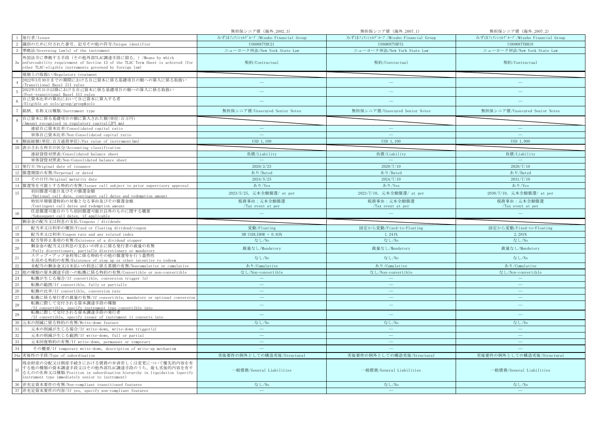|                 |                                                                                                                                                                                                                       | 無担保シニア債 (海外_2002_3)                   | 無担保シニア債 (海外_2007_1)                   | 無担保シニア債 (海外_2007_2)                   |
|-----------------|-----------------------------------------------------------------------------------------------------------------------------------------------------------------------------------------------------------------------|---------------------------------------|---------------------------------------|---------------------------------------|
|                 | 発行者/Issuer                                                                                                                                                                                                            | みずほフィナンシャルグループ/Mizuho Financial Group | みずほフィナンシャルグループ/Mizuho Financial Group | みずほフィナンシャルグループ/Mizuho Financial Group |
| 2               | 識別のために付された番号、記号その他の符号/Unique identifier                                                                                                                                                                               | US60687YBC21                          | US60687YBF51                          | US60687YBH18                          |
|                 | 準拠法/Governing law(s) of the instrument                                                                                                                                                                                | ニューヨーク州法/New York State Law           | ニューヨーク州法/New York State Law           | ニューヨーク州法/New York State Law           |
| 3a              | 外国法令に準拠する手段(その他外部TLAC調達手段に限る。)/Means by which<br>enforceability requirement of Section 13 of the TLAC Term Sheet is achieved (for<br>other TLAC-eligible instruments governed by foreign law)                         | 契約/Contractual                        | 契約/Contractual                        | 契約/Contractual                        |
|                 | 規制上の取扱い/Regulatory treatment                                                                                                                                                                                          |                                       |                                       |                                       |
|                 | 2022年3月30日までの期間における自己資本に係る基礎項目の額への算入に係る取扱い<br>Transitional Basel III rules                                                                                                                                            | $\frac{1}{2}$                         | $\overline{\phantom{0}}$              |                                       |
|                 | 2022年3月31日以降における自己資本に係る基礎項目の額への算入に係る取扱い<br>Post-transitional Basel III rules                                                                                                                                          |                                       |                                       |                                       |
|                 | 自己資本比率の算出において自己資本に算入する者<br>/Eligible at solo/group/group&solo                                                                                                                                                         |                                       |                                       |                                       |
|                 | 銘柄、名称又は種類/Instrument type                                                                                                                                                                                             | 無担保シニア債/Unsecured Senior Notes        | 無担保シニア債/Unsecured Senior Notes        | 無担保シニア債/Unsecured Senior Notes        |
|                 | 自己資本に係る基礎項目の額に算入された額(単位:百万円)<br>Amount recognised in regulatory capital (JPY mn)                                                                                                                                      |                                       |                                       |                                       |
|                 | 連結自己資本比率/Consolidated capital ratio                                                                                                                                                                                   | $\overline{\phantom{m}}$              | $\overline{\phantom{m}}$              | $\qquad \qquad -$                     |
|                 | 単体自己資本比率/Non-Consolidated capital ratio                                                                                                                                                                               | $\sim$                                | <b>College</b>                        | ш.                                    |
|                 | 額面総額(単位:百万通貨単位)/Par value of instrument(mn)                                                                                                                                                                           | USD 1,100                             | USD 1, 100                            | USD 1,000                             |
| 10              | 表示される科目の区分/Accounting classification                                                                                                                                                                                  |                                       |                                       |                                       |
|                 | 連結貸借対照表/Consolidated balance sheet                                                                                                                                                                                    | 負債/Liability                          | 負債/Liability                          | 負債/Liability                          |
|                 | 単体貸借対照表/Non-Consolidated balance sheet                                                                                                                                                                                |                                       |                                       |                                       |
| 11              | 発行日/Original date of issuance                                                                                                                                                                                         | 2020/2/25                             | 2020/7/10                             | 2020/7/10                             |
|                 | 12 償還期限の有無/Perpetual or dated                                                                                                                                                                                         | あり/Dated                              | あり/Dated                              | あり/Dated                              |
| <sup>13</sup>   | その日付/Original maturity date                                                                                                                                                                                           | 2024/5/25                             | 2024/7/10                             | 2031/7/10                             |
|                 | 14 償還等を可能とする特約の有無/Issuer call subject to prior supervisory approval                                                                                                                                                   | あり/Yes                                | あり/Yes                                | あり/Yes                                |
| 15              | 初回償還可能日及びその償還金額<br>/Optional call date, contingent call dates and redemption amount                                                                                                                                   | 2023/5/25, 元本全額償還/ at per             | 2023/7/10, 元本全額償還/ at per             | 2030/7/10, 元本全額償還/ at per             |
|                 | 特別早期償還特約の対象となる事由及びその償還金額                                                                                                                                                                                              | 税務事由:元本全額償還                           | 税務事由:元本全額償還                           | 税務事由:元本全額償還                           |
|                 | /Contingent call dates and redemption amount                                                                                                                                                                          | /Tax event at per                     | /Tax event at per                     | /Tax event at per                     |
|                 | 任意償還可能日のうち初回償還可能日以外のものに関する概要                                                                                                                                                                                          |                                       |                                       |                                       |
| 16              | /Subsequent call dates, if applicable                                                                                                                                                                                 |                                       |                                       |                                       |
|                 | 剰余金の配当又は利息の支払/Coupons / dividends                                                                                                                                                                                     |                                       |                                       |                                       |
| 17              | 配当率又は利率の種別/Fixed or floating dividend/coupon                                                                                                                                                                          | 変動/Floating                           | 固定から変動/Fixed-to-Floating              | 固定から変動/Fixed-to-Floating              |
| 18              | 配当率又は利率/Coupon rate and any related index                                                                                                                                                                             | 3M USDLIBOR + 0.63%                   | 1.241%                                | 2.201%                                |
| 19              | 配当等停止条項の有無/Existence of a dividend stopper                                                                                                                                                                            | なし/No                                 | なし/No                                 | なし/No                                 |
| 20              | 剰余金の配当又は利息の支払いの停止に係る発行者の裁量の有無<br>/Fully discretionary, partially discretionary or mandatory                                                                                                                           | 裁量なし/Mandatory                        | 裁量なし/Mandatory                        | 裁量なし/Mandatory                        |
| $\overline{21}$ | ステップ・アップ金利等に係る特約その他の償還等を行う蓋然性                                                                                                                                                                                         | なし/No                                 | なし/No                                 | なし/No                                 |
|                 | を高める特約の有無/Existence of step up or other incentive to redeem<br>未配当の剰余金又は未払いの利息に係る累積の有無/Noncumulative or cumulative                                                                                                    | あり/Cumulative                         | あり/Cumulative                         | あり/Cumulative                         |
| $22\,$          | 他の種類の資本調達手段への転換に係る特約の有無/Convertible or non-convertible                                                                                                                                                                | なし/Non-convertible                    | なし/Non-convertible                    | なし/Non-convertible                    |
| $23\,$<br>24    | 転換が生じる場合/If convertible, conversion trigger (s)                                                                                                                                                                       | $\sim$                                |                                       | $\sim$                                |
| 25              | 転換の範囲/If convertible, fully or partially                                                                                                                                                                              | $\overline{\phantom{a}}$              | $\overline{\phantom{m}}$              | $\overline{\phantom{m}}$              |
| 26              | 転換の比率/If convertible, conversion rate                                                                                                                                                                                 | $\overline{\phantom{a}}$              | L.                                    | Ц.                                    |
| 27              | 転換に係る発行者の裁量の有無/If convertible, mandatory or optional conversion                                                                                                                                                       | $\frac{1}{2}$                         | $\qquad \qquad -$                     | $\frac{1}{2}$                         |
| 28              | 転換に際して交付される資本調達手段の種類<br>/If convertible, specify instrument type convertible into                                                                                                                                     | $\frac{1}{2}$                         | $\equiv$                              | $\qquad \qquad -$                     |
| 29              | 転換に際して交付される資本調達手段の発行者<br>/If convertible, specify issuer of instrument it converts into                                                                                                                               | ц.                                    | ÷                                     | $\sim$                                |
| 30              | 元本の削減に係る特約の有無/Write-down feature                                                                                                                                                                                      | なし/No                                 | なし/No                                 | なし/No                                 |
| 31              | 元本の削減が生じる場合/If write-down, write-down trigger(s)                                                                                                                                                                      | $\hspace{0.1mm}-\hspace{0.1mm}$       | $\longrightarrow$                     | $\overline{\phantom{m}}$              |
| 32              | 元本の削減が生じる範囲/If write-down, full or partial                                                                                                                                                                            | ш.                                    | $\equiv$                              | ш.                                    |
| 33              | 元本回復特約の有無/If write-down, permanent or temporary                                                                                                                                                                       |                                       |                                       |                                       |
| 34              | その概要/If temporary write-down, description of write-up mechanism                                                                                                                                                       |                                       |                                       |                                       |
|                 | 34a 劣後性の手段/Type of subordination                                                                                                                                                                                      | 劣後要件の例外としての構造劣後/Structural            | 劣後要件の例外としての構造劣後/Structural            | 劣後要件の例外としての構造劣後/Structural            |
| 35              | 残余財産の分配又は倒産手続きにおける債務の弁済若しくは変更について優先的内容を有<br>する他の種類の資本調達手段又はその他外部TLAC調達手段のうち、最も劣後的内容を有す<br>るものの名称又は種類/Position in subordination hierarchy in liquidation (specify<br>instrument type immediately senior to instrument) | 一般債務/General Liabilities              | 一般債務/General Liabilities              | 一般債務/General Liabilities              |
|                 | 36 非充足資本要件の有無/Non-compliant transitioned features<br>37 非充足資本要件の内容/If yes, specify non-compliant features                                                                                                             | なし/No<br>$\sim$                       | なし/No<br>$\equiv$                     | なし/No<br>$\equiv$                     |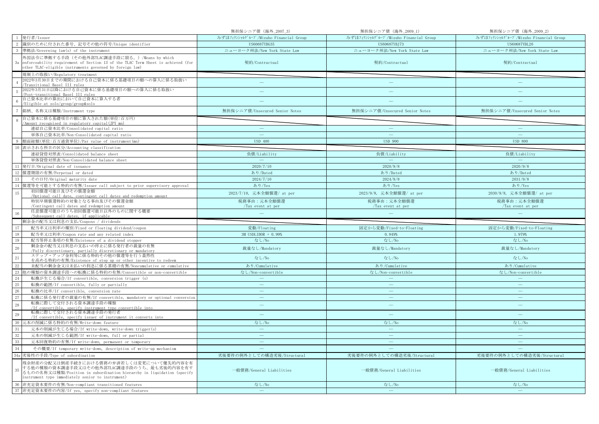|                       |                                                                                                                      | 無担保シニア債 (海外_2007_3)                   | 無担保シニア債 (海外_2009_1)                   | 無担保シニア債 (海外_2009_2)                   |
|-----------------------|----------------------------------------------------------------------------------------------------------------------|---------------------------------------|---------------------------------------|---------------------------------------|
|                       | 発行者/Issuer                                                                                                           | みずほフィナンシャルグループ/Mizuho Financial Group | みずほフィナンシャルグループ/Mizuho Financial Group | みずほフィナンシャルグループ/Mizuho Financial Group |
| -2                    | 識別のために付された番号、記号その他の符号/Unique identifier                                                                              | US60687YBG35                          | US60687YBJ73                          | US60687YBL20                          |
|                       | 準拠法/Governing law(s) of the instrument                                                                               | ニューヨーク州法/New York State Law           | ニューヨーク州法/New York State Law           | ニューヨーク州法/New York State Law           |
|                       | 外国法令に準拠する手段(その他外部TLAC調達手段に限る。)/Means by which                                                                        |                                       |                                       |                                       |
| 3a                    | enforceability requirement of Section 13 of the TLAC Term Sheet is achieved (for                                     | 契約/Contractual                        | 契約/Contractual                        | 契約/Contractual                        |
|                       | other TLAC-eligible instruments governed by foreign law)                                                             |                                       |                                       |                                       |
|                       | 規制上の取扱い/Regulatory treatment                                                                                         |                                       |                                       |                                       |
|                       | 2022年3月30日までの期間における自己資本に係る基礎項目の額への算入に係る取扱い                                                                           | $\frac{1}{2}$                         |                                       |                                       |
|                       | Transitional Basel III rules<br>2022年3月31日以降における自己資本に係る基礎項目の額への算入に係る取扱い                                              |                                       |                                       |                                       |
| $\overline{5}$        | Post-transitional Basel III rules                                                                                    |                                       | ÷                                     |                                       |
|                       | 自己資本比率の算出において自己資本に算入する者                                                                                              |                                       |                                       |                                       |
|                       | /Eligible at solo/group/group&solo                                                                                   |                                       |                                       |                                       |
|                       | 銘柄、名称又は種類/Instrument type                                                                                            | 無担保シニア債/Unsecured Senior Notes        | 無担保シニア債/Unsecured Senior Notes        | 無担保シニア債/Unsecured Senior Notes        |
|                       | 自己資本に係る基礎項目の額に算入された額(単位:百万円)                                                                                         |                                       |                                       |                                       |
|                       | /Amount recognised in regulatory capital(JPY mn)<br>連結自己資本比率/Consolidated capital ratio                              | $\overline{\phantom{m}}$              | $\overline{\phantom{0}}$              | $\overline{\phantom{a}}$              |
|                       |                                                                                                                      | $\overline{\phantom{a}}$              | $\sim$                                | $\sim$                                |
|                       | 単体自己資本比率/Non-Consolidated capital ratio<br>額面総額(単位:百万通貨単位)/Par value of instrument(mn)                               | <b>USD 400</b>                        | <b>USD 900</b>                        | <b>USD 800</b>                        |
|                       | 表示される科目の区分/Accounting classification                                                                                 |                                       |                                       |                                       |
|                       | 連結貸借対照表/Consolidated balance sheet                                                                                   | 負債/Liability                          | 負債/Liability                          | 負債/Liability                          |
|                       | 単体貸借対照表/Non-Consolidated balance sheet                                                                               |                                       |                                       |                                       |
|                       |                                                                                                                      | 2020/7/10                             | 2020/9/8                              | 2020/9/8                              |
| 11<br>12              | 発行日/Original date of issuance<br>償還期限の有無/Perpetual or dated                                                          | あり/Dated                              | あり/Dated                              | あり/Dated                              |
| 13                    |                                                                                                                      |                                       | 2024/9/8                              | 2031/9/8                              |
|                       | その日付/Original maturity date                                                                                          | 2024/7/10                             |                                       |                                       |
|                       | 14 償還等を可能とする特約の有無/Issuer call subject to prior supervisory approval<br>初回償還可能日及びその償還金額                               | あり/Yes                                | あり/Yes                                | あり/Yes                                |
| 15                    | /Optional call date, contingent call dates and redemption amount                                                     | 2023/7/10, 元本全額償還/ at per             | 2023/9/8, 元本全額償還/ at per              | 2030/9/8, 元本全額償還/ at per              |
|                       | 特別早期償還特約の対象となる事由及びその償還金額                                                                                             | 税務事由:元本全額償還                           | 税務事由:元本全額償還                           | 税務事由:元本全額償還                           |
|                       | /Contingent call dates and redemption amount                                                                         | /Tax event at per                     | /Tax event at per                     | /Tax event at per                     |
|                       | 任意償還可能日のうち初回償還可能日以外のものに関する概要                                                                                         |                                       |                                       |                                       |
| 16                    |                                                                                                                      |                                       |                                       |                                       |
|                       | Subsequent call dates, if applicable                                                                                 |                                       |                                       |                                       |
|                       | 剰余金の配当又は利息の支払/Coupons / dividends                                                                                    |                                       |                                       |                                       |
| 17                    | 配当率又は利率の種別/Fixed or floating dividend/coupon                                                                         | 変動/Floating                           | 固定から変動/Fixed-to-Floating              | 固定から変動/Fixed-to-Floating              |
| 18                    | 配当率又は利率/Coupon rate and any related index                                                                            | 3M USDLIBOR + 0.99%                   | 0.849%                                | 1.979%                                |
| 19                    | 配当等停止条項の有無/Existence of a dividend stopper<br>剰余金の配当又は利息の支払いの停止に係る発行者の裁量の有無                                          | なし/No                                 | なし/No                                 | なし/No                                 |
| 20                    | /Fully discretionary, partially discretionary or mandatory                                                           | 裁量なし/Mandatory                        | 裁量なし/Mandatory                        | 裁量なし/Mandatory                        |
| $\overline{21}$       | ステップ・アップ金利等に係る特約その他の償還等を行う蓋然性                                                                                        | なし/No                                 | なし/No                                 | なし/No                                 |
|                       | を高める特約の有無/Existence of step up or other incentive to redeem                                                          |                                       |                                       |                                       |
|                       | 未配当の剰余金又は未払いの利息に係る累積の有無/Noncumulative or cumulative<br>他の種類の資本調達手段への転換に係る特約の有無/Convertible or non-convertible        | あり/Cumulative                         | あり/Cumulative                         | あり/Cumulative                         |
| $\frac{22}{23}$<br>24 |                                                                                                                      | なし/Non-convertible<br>$\equiv$        | なし/Non-convertible                    | なし/Non-convertible<br>$\equiv$        |
| 25                    | 転換が生じる場合/If convertible, conversion trigger (s)<br>転換の範囲/If convertible, fully or partially                          | $\overline{\phantom{a}}$              | $\equiv$                              | $\equiv$                              |
| 26                    | 転換の比率/If convertible, conversion rate                                                                                | $\overline{\phantom{a}}$              | $\frac{1}{2}$                         | $\sim$                                |
|                       |                                                                                                                      | $\overline{\phantom{a}}$              | $\equiv$                              | $\equiv$                              |
| 27                    | 転換に係る発行者の裁量の有無/If convertible, mandatory or optional conversion<br>転換に際して交付される資本調達手段の種類                              |                                       |                                       |                                       |
| 28                    | /If convertible, specify instrument type convertible into                                                            | $\equiv$                              | $\equiv$                              | $\equiv$                              |
| 29                    | 転換に際して交付される資本調達手段の発行者<br>/If convertible, specify issuer of instrument it converts into                              | $\qquad \qquad -$                     | ۳                                     |                                       |
| 30                    | 元本の削減に係る特約の有無/Write-down feature                                                                                     | なし/No                                 | なし/No                                 | なし/No                                 |
| 31                    | 元本の削減が生じる場合/If write-down, write-down trigger(s)                                                                     | $\longrightarrow$                     | $\longrightarrow$                     | $\longrightarrow$                     |
|                       | 元本の削減が生じる範囲/If write-down, full or partial                                                                           |                                       | $\frac{1}{2}$                         | $\sim$                                |
| $32\,$<br>33          | 元本回復特約の有無/If write-down, permanent or temporary                                                                      | $\overline{\phantom{0}}$              | $\overline{\phantom{0}}$              | $\overline{\phantom{0}}$              |
| 34                    |                                                                                                                      |                                       |                                       |                                       |
|                       | その概要/If temporary write-down, description of write-up mechanism                                                      |                                       |                                       |                                       |
|                       | 34a 劣後性の手段/Type of subordination                                                                                     | 劣後要件の例外としての構造劣後/Structural            | 劣後要件の例外としての構造劣後/Structural            | 劣後要件の例外としての構造劣後/Structural            |
|                       | 残余財産の分配又は倒産手続きにおける債務の弁済若しくは変更について優先的内容を有                                                                             |                                       |                                       |                                       |
| 35                    | する他の種類の資本調達手段又はその他外部TLAC調達手段のうち、最も劣後的内容を有す<br>るものの名称又は種類/Position in subordination hierarchy in liquidation (specify | 一般債務/General Liabilities              | 一般債務/General Liabilities              | 一般債務/General Liabilities              |
|                       | instrument type immediately senior to instrument)                                                                    |                                       |                                       |                                       |
| 36                    | 非充足資本要件の有無/Non-compliant transitioned features<br>37 非充足資本要件の内容/If yes, specify non-compliant features               | なし/No                                 | なし/No                                 | なし/No                                 |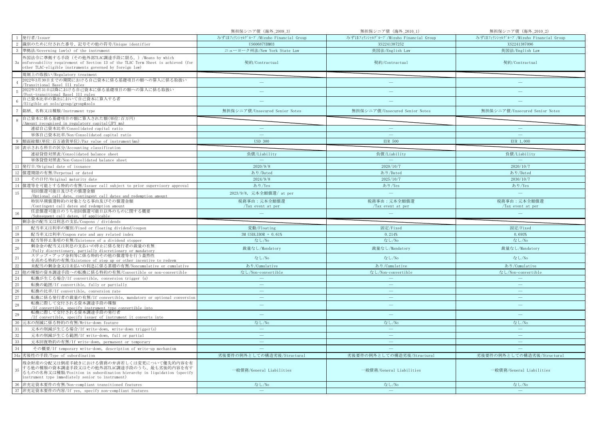|                 |                                                                                                                                                                                                                       | 無担保シニア債 (海外_2009_3)                   | 無担保シニア債 (海外_2010_1)                   | 無担保シニア債 (海外_2010_2)                   |
|-----------------|-----------------------------------------------------------------------------------------------------------------------------------------------------------------------------------------------------------------------|---------------------------------------|---------------------------------------|---------------------------------------|
|                 | 1 発行者/Issuer                                                                                                                                                                                                          | みずほフィナンシャルグループ/Mizuho Financial Group | みずほフィナンシャルグループ/Mizuho Financial Group | みずほフィナンシャルグループ/Mizuho Financial Group |
| 2               | 識別のために付された番号、記号その他の符号/Unique identifier                                                                                                                                                                               | US60687YBM03                          | XS2241387252                          | XS2241387096                          |
|                 | 準拠法/Governing law(s) of the instrument                                                                                                                                                                                | ニューヨーク州法/New York State Law           | 英国法/English Law                       | 英国法/English Law                       |
| 3a              | 外国法令に準拠する手段(その他外部TLAC調達手段に限る。)/Means by which<br>enforceability requirement of Section 13 of the TLAC Term Sheet is achieved (for<br>other TLAC-eligible instruments governed by foreign law)                         | 契約/Contractual                        | 契約/Contractual                        | 契約/Contractual                        |
|                 | 規制上の取扱い/Regulatory treatment                                                                                                                                                                                          |                                       |                                       |                                       |
|                 | 2022年3月30日までの期間における自己資本に係る基礎項目の額への算入に係る取扱い<br>Transitional Basel III rules                                                                                                                                            | $\frac{1}{2}$                         | $\overline{\phantom{0}}$              |                                       |
|                 | 2022年3月31日以降における自己資本に係る基礎項目の額への算入に係る取扱い<br>Post-transitional Basel III rules                                                                                                                                          |                                       |                                       |                                       |
|                 | 自己資本比率の算出において自己資本に算入する者<br>/Eligible at solo/group/group&solo                                                                                                                                                         |                                       |                                       |                                       |
|                 | 銘柄、名称又は種類/Instrument type                                                                                                                                                                                             | 無担保シニア債/Unsecured Senior Notes        | 無担保シニア債/Unsecured Senior Notes        | 無担保シニア債/Unsecured Senior Notes        |
|                 | 自己資本に係る基礎項目の額に算入された額(単位:百万円)<br>Amount recognised in regulatory capital (JPY mn)                                                                                                                                      |                                       |                                       |                                       |
|                 | 連結自己資本比率/Consolidated capital ratio                                                                                                                                                                                   | $\overline{\phantom{m}}$              | $\overline{\phantom{m}}$              | $\qquad \qquad -$                     |
|                 | 単体自己資本比率/Non-Consolidated capital ratio                                                                                                                                                                               | $\sim$                                | <b>College</b>                        | ш.                                    |
|                 | 額面総額(単位:百万通貨単位)/Par value of instrument(mn)                                                                                                                                                                           | <b>USD 300</b>                        | <b>EUR 500</b>                        | EUR 1,000                             |
| 10              | 表示される科目の区分/Accounting classification                                                                                                                                                                                  |                                       |                                       |                                       |
|                 | 連結貸借対照表/Consolidated balance sheet                                                                                                                                                                                    | 負債/Liability                          | 負債/Liability                          | 負債/Liability                          |
|                 | 単体貸借対照表/Non-Consolidated balance sheet                                                                                                                                                                                |                                       |                                       |                                       |
| 11              | 発行日/Original date of issuance                                                                                                                                                                                         | 2020/9/8                              | 2020/10/7                             | 2020/10/7                             |
|                 | 12 償還期限の有無/Perpetual or dated                                                                                                                                                                                         | あり/Dated                              | あり/Dated                              | あり/Dated                              |
| 13              | その日付/Original maturity date                                                                                                                                                                                           | 2024/9/8                              | 2025/10/7                             | 2030/10/7                             |
|                 | 14 償還等を可能とする特約の有無/Issuer call subject to prior supervisory approval                                                                                                                                                   | あり/Yes                                | あり/Yes                                | あり/Yes                                |
| 15              | 初回償還可能日及びその償還金額<br>/Optional call date, contingent call dates and redemption amount                                                                                                                                   | 2023/9/8, 元本全額償還/ at per              | $\equiv$                              | $\overline{\phantom{m}}$              |
|                 | 特別早期償還特約の対象となる事由及びその償還金額                                                                                                                                                                                              | 税務事由:元本全額償還                           | 税務事由:元本全額償還                           | 税務事由:元本全額償還                           |
|                 | /Contingent call dates and redemption amount                                                                                                                                                                          | /Tax event at per                     | /Tax event at per                     | /Tax event at per                     |
|                 | 任意償還可能日のうち初回償還可能日以外のものに関する概要                                                                                                                                                                                          |                                       |                                       |                                       |
| 16              | /Subsequent call dates, if applicable                                                                                                                                                                                 |                                       |                                       |                                       |
|                 | 剰余金の配当又は利息の支払/Coupons / dividends                                                                                                                                                                                     |                                       |                                       |                                       |
| 17              | 配当率又は利率の種別/Fixed or floating dividend/coupon                                                                                                                                                                          | 変動/Floating                           | 固定/Fixed                              | 固定/Fixed                              |
| 18              | 配当率又は利率/Coupon rate and any related index                                                                                                                                                                             | 3M USDLIBOR + 0.61%                   | 0.214%                                | 0.693%                                |
| 19              | 配当等停止条項の有無/Existence of a dividend stopper                                                                                                                                                                            | なし/No                                 | なし/No                                 | なし/No                                 |
| 20              | 剰余金の配当又は利息の支払いの停止に係る発行者の裁量の有無<br>/Fully discretionary, partially discretionary or mandatory                                                                                                                           | 裁量なし/Mandatory                        | 裁量なし/Mandatory                        | 裁量なし/Mandatory                        |
| $\overline{21}$ | ステップ・アップ金利等に係る特約その他の償還等を行う蓋然性                                                                                                                                                                                         | なし/No                                 | なし/No                                 | なし/No                                 |
|                 | を高める特約の有無/Existence of step up or other incentive to redeem<br>未配当の剰余金又は未払いの利息に係る累積の有無/Noncumulative or cumulative                                                                                                    | あり/Cumulative                         | あり/Cumulative                         | あり/Cumulative                         |
| $22\,$          | 他の種類の資本調達手段への転換に係る特約の有無/Convertible or non-convertible                                                                                                                                                                | なし/Non-convertible                    | なし/Non-convertible                    | なし/Non-convertible                    |
| 23<br>24        | 転換が生じる場合/If convertible, conversion trigger (s)                                                                                                                                                                       | $\sim$                                |                                       | $\sim$                                |
| 25              | 転換の範囲/If convertible, fully or partially                                                                                                                                                                              | $\overline{\phantom{a}}$              | $\overline{\phantom{m}}$              | $\overline{\phantom{m}}$              |
| 26              | 転換の比率/If convertible, conversion rate                                                                                                                                                                                 | $\overline{\phantom{a}}$              | L.                                    | $\equiv$                              |
| 27              | 転換に係る発行者の裁量の有無/If convertible, mandatory or optional conversion                                                                                                                                                       | $\overline{\phantom{a}}$              | $\qquad \qquad -$                     | $\frac{1}{2}$                         |
| 28              | 転換に際して交付される資本調達手段の種類<br>/If convertible, specify instrument type convertible into                                                                                                                                     | $\frac{1}{2}$                         | $\equiv$                              | $\overline{\phantom{m}}$              |
| 29              | 転換に際して交付される資本調達手段の発行者<br>/If convertible, specify issuer of instrument it converts into                                                                                                                               | ц.                                    | ÷                                     | $\sim$                                |
| 30              | 元本の削減に係る特約の有無/Write-down feature                                                                                                                                                                                      | なし/No                                 | なし/No                                 | なし/No                                 |
| 31              | 元本の削減が生じる場合/If write-down, write-down trigger(s)                                                                                                                                                                      | $\hspace{0.1mm}-\hspace{0.1mm}$       | $\longrightarrow$                     | $\overline{\phantom{m}}$              |
| 32              | 元本の削減が生じる範囲/If write-down, full or partial                                                                                                                                                                            | ш.                                    | $\equiv$                              | ш.                                    |
| 33              | 元本回復特約の有無/If write-down, permanent or temporary                                                                                                                                                                       |                                       |                                       | 二                                     |
| 34              | その概要/If temporary write-down, description of write-up mechanism                                                                                                                                                       |                                       |                                       |                                       |
|                 | 34a 劣後性の手段/Type of subordination                                                                                                                                                                                      | 劣後要件の例外としての構造劣後/Structural            | 劣後要件の例外としての構造劣後/Structural            | 劣後要件の例外としての構造劣後/Structural            |
| 35              | 残余財産の分配又は倒産手続きにおける債務の弁済若しくは変更について優先的内容を有<br>する他の種類の資本調達手段又はその他外部TLAC調達手段のうち、最も劣後的内容を有す<br>るものの名称又は種類/Position in subordination hierarchy in liquidation (specify<br>instrument type immediately senior to instrument) | 一般債務/General Liabilities              | 一般債務/General Liabilities              | 一般債務/General Liabilities              |
|                 | 36 非充足資本要件の有無/Non-compliant transitioned features<br>37 非充足資本要件の内容/If yes, specify non-compliant features                                                                                                             | なし/No<br>$\sim$                       | なし/No<br>$\equiv$                     | なし/No<br>$\equiv$                     |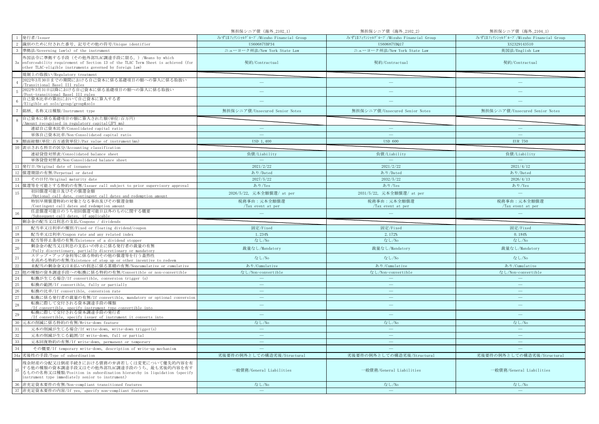|                 |                                                                                                                    | 無担保シニア債 (海外_2102_1)                   | 無担保シニア債 (海外_2102_2)                   | 無担保シニア債 (海外_2104_1)                   |
|-----------------|--------------------------------------------------------------------------------------------------------------------|---------------------------------------|---------------------------------------|---------------------------------------|
|                 | 1 発行者/Issuer                                                                                                       | みずほフィナンシャルグループ/Mizuho Financial Group | みずほフィナンシャルグループ/Mizuho Financial Group | みずほフィナンシャルグループ/Mizuho Financial Group |
| 2               | 識別のために付された番号、記号その他の符号/Unique identifier                                                                            | US60687YBP34                          | US60687YBQ17                          | XS2329143510                          |
|                 | 準拠法/Governing law(s) of the instrument                                                                             | ニューヨーク州法/New York State Law           | ニューヨーク州法/New York State Law           | 英国法/English Law                       |
|                 | 外国法令に準拠する手段(その他外部TLAC調達手段に限る。)/Means by which                                                                      |                                       |                                       |                                       |
| 3a              | enforceability requirement of Section 13 of the TLAC Term Sheet is achieved (for                                   | 契約/Contractual                        | 契約/Contractual                        | 契約/Contractual                        |
|                 | other TLAC-eligible instruments governed by foreign law)                                                           |                                       |                                       |                                       |
|                 | 規制上の取扱い/Regulatory treatment                                                                                       |                                       |                                       |                                       |
|                 | 2022年3月30日までの期間における自己資本に係る基礎項目の額への算入に係る取扱い                                                                         | $\frac{1}{2}$                         | $\overline{\phantom{0}}$              |                                       |
|                 | Transitional Basel III rules<br>2022年3月31日以降における自己資本に係る基礎項目の額への算入に係る取扱い                                            |                                       |                                       |                                       |
|                 | Post-transitional Basel III rules                                                                                  |                                       |                                       |                                       |
|                 | 自己資本比率の算出において自己資本に算入する者                                                                                            |                                       |                                       |                                       |
|                 | /Eligible at solo/group/group&solo                                                                                 |                                       |                                       |                                       |
|                 | 銘柄、名称又は種類/Instrument type                                                                                          | 無担保シニア債/Unsecured Senior Notes        | 無担保シニア債/Unsecured Senior Notes        | 無担保シニア債/Unsecured Senior Notes        |
|                 | 自己資本に係る基礎項目の額に算入された額(単位:百万円)                                                                                       |                                       |                                       |                                       |
|                 | Amount recognised in regulatory capital (JPY mn)<br>連結自己資本比率/Consolidated capital ratio                            | $\overline{\phantom{m}}$              | $\overline{\phantom{m}}$              | $\qquad \qquad -$                     |
|                 | 単体自己資本比率/Non-Consolidated capital ratio                                                                            | $\sim$                                | <b>College</b>                        | ш.                                    |
|                 | 額面総額(単位:百万通貨単位)/Par value of instrument(mn)                                                                        | USD 1,400                             | <b>USD 600</b>                        | <b>EUR 750</b>                        |
| 10              | 表示される科目の区分/Accounting classification                                                                               |                                       |                                       |                                       |
|                 | 連結貸借対照表/Consolidated balance sheet                                                                                 | 負債/Liability                          | 負債/Liability                          | 負債/Liability                          |
|                 | 単体貸借対照表/Non-Consolidated balance sheet                                                                             |                                       |                                       |                                       |
| 11              | 発行日/Original date of issuance                                                                                      | 2021/2/22                             | 2021/2/22                             | 2021/4/12                             |
|                 | 12 償還期限の有無/Perpetual or dated                                                                                      | あり/Dated                              | あり/Dated                              | あり/Dated                              |
| 13              | その日付/Original maturity date                                                                                        | 2027/5/22                             | 2032/5/22                             | 2026/4/13                             |
|                 | 14   償還等を可能とする特約の有無/Issuer call subject to prior supervisory approval                                              | あり/Yes                                | あり/Yes                                | あり/Yes                                |
|                 | 初回償還可能日及びその償還金額                                                                                                    |                                       |                                       |                                       |
| 15              | /Optional call date, contingent call dates and redemption amount                                                   | 2026/5/22, 元本全額償還/ at per             | 2031/5/22, 元本全額償還/ at per             | $\overline{\phantom{m}}$              |
|                 | 特別早期償還特約の対象となる事由及びその償還金額                                                                                           | 税務事由:元本全額償還                           | 税務事由:元本全額償還                           | 税務事由:元本全額償還                           |
|                 | /Contingent call dates and redemption amount<br>任意償還可能日のうち初回償還可能日以外のものに関する概要                                       | /Tax event at per                     | /Tax event at per                     | /Tax event at per                     |
|                 |                                                                                                                    |                                       |                                       |                                       |
| 16              | /Subsequent call dates, if applicable                                                                              |                                       |                                       |                                       |
|                 | 剰余金の配当又は利息の支払/Coupons / dividends                                                                                  |                                       |                                       |                                       |
| 17              | 配当率又は利率の種別/Fixed or floating dividend/coupon                                                                       | 固定/Fixed                              | 固定/Fixed                              | 固定/Fixed                              |
| 18              | 配当率又は利率/Coupon rate and any related index                                                                          | 1.234%                                | 2.172%                                | 0.184%                                |
| 19              | 配当等停止条項の有無/Existence of a dividend stopper                                                                         | なし/No                                 | なし/No                                 | なし/No                                 |
|                 | 剰余金の配当又は利息の支払いの停止に係る発行者の裁量の有無                                                                                      |                                       |                                       |                                       |
| 20              | /Fully discretionary, partially discretionary or mandatory                                                         | 裁量なし/Mandatory                        | 裁量なし/Mandatory                        | 裁量なし/Mandatory                        |
| $\overline{21}$ | ステップ・アップ金利等に係る特約その他の償還等を行う蓋然性                                                                                      | なし/No                                 | なし/No                                 | なし/No                                 |
| $22\,$          | を高める特約の有無/Existence of step up or other incentive to redeem<br>未配当の剰余金又は未払いの利息に係る累積の有無/Noncumulative or cumulative | あり/Cumulative                         | あり/Cumulative                         | あり/Cumulative                         |
| $23\,$          | 他の種類の資本調達手段への転換に係る特約の有無/Convertible or non-convertible                                                             | なし/Non-convertible                    | なし/Non-convertible                    | なし/Non-convertible                    |
| 24              | 転換が生じる場合/If convertible, conversion trigger (s)                                                                    | $\sim$                                |                                       | $\sim$                                |
| 25              | 転換の範囲/If convertible, fully or partially                                                                           | $\overline{\phantom{a}}$              | $\overline{\phantom{m}}$              | $\overline{\phantom{m}}$              |
| 26              | 転換の比率/If convertible, conversion rate                                                                              | $\overline{\phantom{a}}$              | L.                                    | $\equiv$                              |
| 27              | 転換に係る発行者の裁量の有無/If convertible, mandatory or optional conversion                                                    | $\overline{\phantom{a}}$              | $\qquad \qquad -$                     | $\frac{1}{2}$                         |
|                 | 転換に際して交付される資本調達手段の種類                                                                                               | $\frac{1}{2}$                         | $\equiv$                              | $\overline{\phantom{m}}$              |
| 28              | /If convertible, specify instrument type convertible into                                                          |                                       |                                       |                                       |
| 29              | 転換に際して交付される資本調達手段の発行者<br>/If convertible, specify issuer of instrument it converts into                            | ц.                                    | ÷                                     | $\sim$                                |
| 30              | 元本の削減に係る特約の有無/Write-down feature                                                                                   | なし/No                                 | なし/No                                 | なし/No                                 |
| 31              | 元本の削減が生じる場合/If write-down, write-down trigger(s)                                                                   | $\hspace{0.1mm}-\hspace{0.1mm}$       | $\longrightarrow$                     | $\overline{\phantom{m}}$              |
| 32              | 元本の削減が生じる範囲/If write-down, full or partial                                                                         | ш.                                    | $\equiv$                              | ш.                                    |
| 33              | 元本回復特約の有無/If write-down, permanent or temporary                                                                    |                                       |                                       | <u>in</u>                             |
| 34              | その概要/If temporary write-down, description of write-up mechanism                                                    |                                       |                                       |                                       |
|                 | 34a 劣後性の手段/Type of subordination                                                                                   | 劣後要件の例外としての構造劣後/Structural            | 劣後要件の例外としての構造劣後/Structural            | 劣後要件の例外としての構造劣後/Structural            |
|                 | 残余財産の分配又は倒産手続きにおける債務の弁済若しくは変更について優先的内容を有                                                                           |                                       |                                       |                                       |
| 35              | する他の種類の資本調達手段又はその他外部TLAC調達手段のうち、最も劣後的内容を有す                                                                         |                                       |                                       |                                       |
|                 | るものの名称又は種類/Position in subordination hierarchy in liquidation (specify                                             | 一般債務/General Liabilities              | 一般債務/General Liabilities              | 一般債務/General Liabilities              |
|                 | instrument type immediately senior to instrument)                                                                  |                                       |                                       |                                       |
|                 | 36 非充足資本要件の有無/Non-compliant transitioned features<br>37 非充足資本要件の内容/If yes, specify non-compliant features          | なし/No<br>$\sim$                       | なし/No<br>$\equiv$                     | なし/No<br>$\equiv$                     |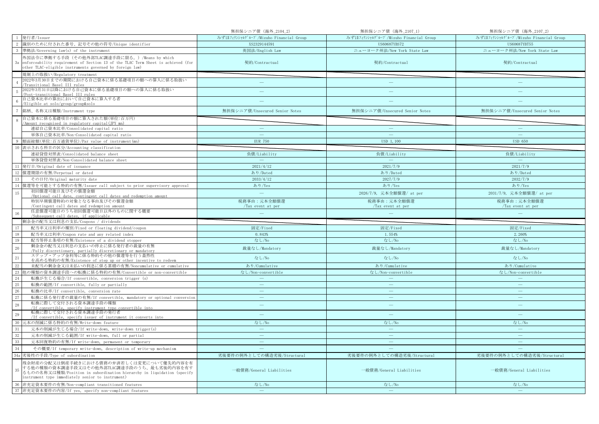|                 |                                                                                                                                                                                                                       | 無担保シニア債 (海外_2104_2)                   | 無担保シニア債 (海外_2107_1)                   | 無担保シニア債 (海外_2107_2)                   |
|-----------------|-----------------------------------------------------------------------------------------------------------------------------------------------------------------------------------------------------------------------|---------------------------------------|---------------------------------------|---------------------------------------|
|                 | 1 発行者/Issuer                                                                                                                                                                                                          | みずほフィナンシャルグループ/Mizuho Financial Group | みずほフィナンシャルグループ/Mizuho Financial Group | みずほフィナンシャルグループ/Mizuho Financial Group |
| 2               | 識別のために付された番号、記号その他の符号/Unique identifier                                                                                                                                                                               | XS2329144591                          | US60687YBS72                          | US60687YBT55                          |
|                 | 準拠法/Governing law(s) of the instrument                                                                                                                                                                                | 英国法/English Law                       | ニューヨーク州法/New York State Law           | ニューヨーク州法/New York State Law           |
| 3a              | 外国法令に準拠する手段(その他外部TLAC調達手段に限る。)/Means by which<br>enforceability requirement of Section 13 of the TLAC Term Sheet is achieved (for<br>other TLAC-eligible instruments governed by foreign law)                         | 契約/Contractual                        | 契約/Contractual                        | 契約/Contractual                        |
|                 | 規制上の取扱い/Regulatory treatment                                                                                                                                                                                          |                                       |                                       |                                       |
|                 | 2022年3月30日までの期間における自己資本に係る基礎項目の額への算入に係る取扱い<br>Transitional Basel III rules                                                                                                                                            | $\frac{1}{2}$                         | $\overline{\phantom{0}}$              |                                       |
|                 | 2022年3月31日以降における自己資本に係る基礎項目の額への算入に係る取扱い<br>Post-transitional Basel III rules                                                                                                                                          |                                       |                                       |                                       |
|                 | 自己資本比率の算出において自己資本に算入する者<br>/Eligible at solo/group/group&solo                                                                                                                                                         |                                       |                                       |                                       |
|                 | 銘柄、名称又は種類/Instrument type                                                                                                                                                                                             | 無担保シニア債/Unsecured Senior Notes        | 無担保シニア債/Unsecured Senior Notes        | 無担保シニア債/Unsecured Senior Notes        |
|                 | 自己資本に係る基礎項目の額に算入された額(単位:百万円)<br>Amount recognised in regulatory capital (JPY mn)                                                                                                                                      |                                       |                                       |                                       |
|                 | 連結自己資本比率/Consolidated capital ratio                                                                                                                                                                                   | $\overline{\phantom{m}}$              | $\overline{\phantom{m}}$              | $\qquad \qquad -$                     |
|                 | 単体自己資本比率/Non-Consolidated capital ratio                                                                                                                                                                               | $\sim$                                | <b>College</b>                        | ш.                                    |
|                 | 額面総額(単位:百万通貨単位)/Par value of instrument(mn)                                                                                                                                                                           | <b>EUR 750</b>                        | USD 1, 100                            | <b>USD 650</b>                        |
| 10              | 表示される科目の区分/Accounting classification                                                                                                                                                                                  |                                       |                                       |                                       |
|                 | 連結貸借対照表/Consolidated balance sheet                                                                                                                                                                                    | 負債/Liability                          | 負債/Liability                          | 負債/Liability                          |
|                 | 単体貸借対照表/Non-Consolidated balance sheet                                                                                                                                                                                |                                       |                                       |                                       |
| 11              | 発行日/Original date of issuance                                                                                                                                                                                         | 2021/4/12                             | 2021/7/9                              | 2021/7/9                              |
|                 | 12 償還期限の有無/Perpetual or dated                                                                                                                                                                                         | あり/Dated                              | あり/Dated                              | あり/Dated                              |
| 13              | その日付/Original maturity date                                                                                                                                                                                           | 2033/4/12                             | 2027/7/9                              | 2032/7/9                              |
|                 | 14 償還等を可能とする特約の有無/Issuer call subject to prior supervisory approval                                                                                                                                                   | あり/Yes                                | あり/Yes                                | あり/Yes                                |
| 15              | 初回償還可能日及びその償還金額<br>/Optional call date, contingent call dates and redemption amount                                                                                                                                   | $\equiv$                              | 2026/7/9, 元本全額償還/ at per              | 2031/7/9, 元本全額償還/ at per              |
|                 | 特別早期償還特約の対象となる事由及びその償還金額                                                                                                                                                                                              | 税務事由:元本全額償還                           | 税務事由:元本全額償還                           | 税務事由:元本全額償還                           |
|                 | /Contingent call dates and redemption amount                                                                                                                                                                          | /Tax event at per                     | /Tax event at per                     | /Tax event at per                     |
|                 | 任意償還可能日のうち初回償還可能日以外のものに関する概要                                                                                                                                                                                          |                                       |                                       |                                       |
| 16              | /Subsequent call dates, if applicable                                                                                                                                                                                 |                                       |                                       |                                       |
|                 | 剰余金の配当又は利息の支払/Coupons / dividends                                                                                                                                                                                     |                                       |                                       |                                       |
| 17              | 配当率又は利率の種別/Fixed or floating dividend/coupon                                                                                                                                                                          | 固定/Fixed                              | 固定/Fixed                              | 固定/Fixed                              |
| 18              | 配当率又は利率/Coupon rate and any related index                                                                                                                                                                             | 0.843%                                | 1.554%                                | 2.260%                                |
| 19              | 配当等停止条項の有無/Existence of a dividend stopper                                                                                                                                                                            | なし/No                                 | なし/No                                 | なし/No                                 |
| 20              | 剰余金の配当又は利息の支払いの停止に係る発行者の裁量の有無<br>/Fully discretionary, partially discretionary or mandatory                                                                                                                           | 裁量なし/Mandatory                        | 裁量なし/Mandatory                        | 裁量なし/Mandatory                        |
| $\overline{21}$ | ステップ・アップ金利等に係る特約その他の償還等を行う蓋然性                                                                                                                                                                                         | なし/No                                 | なし/No                                 | なし/No                                 |
| $22\,$          | を高める特約の有無/Existence of step up or other incentive to redeem<br>未配当の剰余金又は未払いの利息に係る累積の有無/Noncumulative or cumulative                                                                                                    | あり/Cumulative                         | あり/Cumulative                         | あり/Cumulative                         |
| $23\,$          | 他の種類の資本調達手段への転換に係る特約の有無/Convertible or non-convertible                                                                                                                                                                | なし/Non-convertible                    | なし/Non-convertible                    | なし/Non-convertible                    |
| 24              | 転換が生じる場合/If convertible, conversion trigger (s)                                                                                                                                                                       | $\sim$                                |                                       | $\sim$                                |
| 25              | 転換の範囲/If convertible, fully or partially                                                                                                                                                                              | $\overline{\phantom{a}}$              | $\overline{\phantom{m}}$              | $\overline{\phantom{m}}$              |
| 26              | 転換の比率/If convertible, conversion rate                                                                                                                                                                                 | $\overline{\phantom{a}}$              | L.                                    | $\equiv$                              |
| 27              | 転換に係る発行者の裁量の有無/If convertible, mandatory or optional conversion                                                                                                                                                       | $\overline{\phantom{a}}$              | $\qquad \qquad -$                     | $\frac{1}{2}$                         |
| 28              | 転換に際して交付される資本調達手段の種類<br>/If convertible, specify instrument type convertible into                                                                                                                                     | $\frac{1}{2}$                         | $\equiv$                              | $\qquad \qquad -$                     |
| 29              | 転換に際して交付される資本調達手段の発行者<br>/If convertible, specify issuer of instrument it converts into                                                                                                                               | ц.                                    | ÷                                     | $\sim$                                |
| 30              | 元本の削減に係る特約の有無/Write-down feature                                                                                                                                                                                      | なし/No                                 | なし/No                                 | なし/No                                 |
| 31              | 元本の削減が生じる場合/If write-down, write-down trigger(s)                                                                                                                                                                      | $\hspace{0.1mm}-\hspace{0.1mm}$       | $\longrightarrow$                     | $\overline{\phantom{m}}$              |
| 32              | 元本の削減が生じる範囲/If write-down, full or partial                                                                                                                                                                            | ш.                                    | $\equiv$                              | ш.                                    |
| 33              | 元本回復特約の有無/If write-down, permanent or temporary                                                                                                                                                                       |                                       |                                       | <u>in</u>                             |
| 34              | その概要/If temporary write-down, description of write-up mechanism                                                                                                                                                       |                                       |                                       |                                       |
|                 | 34a 劣後性の手段/Type of subordination                                                                                                                                                                                      | 劣後要件の例外としての構造劣後/Structural            | 劣後要件の例外としての構造劣後/Structural            | 劣後要件の例外としての構造劣後/Structural            |
| 35              | 残余財産の分配又は倒産手続きにおける債務の弁済若しくは変更について優先的内容を有<br>する他の種類の資本調達手段又はその他外部TLAC調達手段のうち、最も劣後的内容を有す<br>るものの名称又は種類/Position in subordination hierarchy in liquidation (specify<br>instrument type immediately senior to instrument) | 一般債務/General Liabilities              | 一般債務/General Liabilities              | 一般債務/General Liabilities              |
|                 | 36 非充足資本要件の有無/Non-compliant transitioned features<br>37 非充足資本要件の内容/If yes, specify non-compliant features                                                                                                             | なし/No<br>$\sim$                       | なし/No<br>$\equiv$                     | なし/No<br>$\equiv$                     |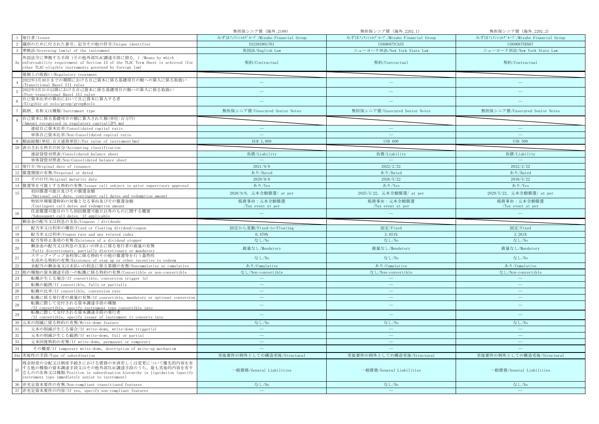|                                               |                                                                                                                                                                                                                       | 無担保シニア債 (海外_2109)                     | 無担保シニア債 (海外_2202_1)                   | 無担保シニア債 (海外_2202_2)                   |
|-----------------------------------------------|-----------------------------------------------------------------------------------------------------------------------------------------------------------------------------------------------------------------------|---------------------------------------|---------------------------------------|---------------------------------------|
|                                               | 発行者/Issuer                                                                                                                                                                                                            | みずほフィナンシャルグループ/Mizuho Financial Group | みずほフィナンシャルグループ/Mizuho Financial Group | みずほフィナンシャルグループ/Mizuho Financial Group |
| -2                                            | 識別のために付された番号、記号その他の符号/Unique identifier                                                                                                                                                                               | XS2383901761                          | <b>US60687YCA55</b>                   | US60687YBX67                          |
|                                               | 準拠法/Governing law(s) of the instrument                                                                                                                                                                                | 英国法/English Law                       | ニューヨーク州法/New York State Law           | ニューヨーク州法/New York State Law           |
| 3a                                            | 外国法令に準拠する手段(その他外部TLAC調達手段に限る。)/Means by which<br>enforceability requirement of Section 13 of the TLAC Term Sheet is achieved (for<br>other TLAC-eligible instruments governed by foreign law)                         | 契約/Contractual                        | 契約/Contractual                        | 契約/Contractual                        |
|                                               | 規制上の取扱い/Regulatory treatment                                                                                                                                                                                          |                                       |                                       |                                       |
|                                               | 2022年3月30日までの期間における自己資本に係る基礎項目の額への算入に係る取扱い<br>Transitional Basel III rules                                                                                                                                            | $\frac{1}{2}$                         |                                       |                                       |
| $\overline{5}$                                | 2022年3月31日以降における自己資本に係る基礎項目の額への算入に係る取扱い<br>Post-transitional Basel III rules                                                                                                                                          | ÷                                     | ÷                                     |                                       |
|                                               | 自己資本比率の算出において自己資本に算入する者<br>/Eligible at solo/group/group&solo                                                                                                                                                         |                                       |                                       |                                       |
|                                               | 銘柄、名称又は種類/Instrument type                                                                                                                                                                                             | 無担保シニア債/Unsecured Senior Notes        | 無担保シニア債/Unsecured Senior Notes        | 無担保シニア債/Unsecured Senior Notes        |
|                                               | 自己資本に係る基礎項目の額に算入された額(単位:百万円)<br>/Amount recognised in regulatory capital(JPY mn)                                                                                                                                      |                                       |                                       |                                       |
|                                               | 連結自己資本比率/Consolidated capital ratio                                                                                                                                                                                   | $\overline{\phantom{m}}$              | $\overline{\phantom{0}}$              | $\overline{\phantom{a}}$              |
|                                               | 単体自己資本比率/Non-Consolidated capital ratio                                                                                                                                                                               | $\sim$                                | $\sim$                                | $\sim$                                |
|                                               | 額面総額(単位:百万通貨単位)/Par value of instrument(mn)                                                                                                                                                                           | EUR 1,000                             | <b>USD 600</b>                        | <b>USD 500</b>                        |
|                                               | 表示される科目の区分/Accounting classification                                                                                                                                                                                  |                                       |                                       |                                       |
|                                               | 連結貸借対照表/Consolidated balance sheet                                                                                                                                                                                    | 負債/Liability                          | 負債/Liability                          | 負債/Liability                          |
|                                               | 単体貸借対照表/Non-Consolidated balance sheet                                                                                                                                                                                |                                       |                                       |                                       |
| 11                                            | 発行日/Original date of issuance                                                                                                                                                                                         | 2021/9/6                              | 2022/2/22                             | 2022/2/22                             |
| 12                                            | 償還期限の有無/Perpetual or dated                                                                                                                                                                                            | あり/Dated                              | あり/Dated                              | あり/Dated                              |
| 13                                            | その日付/Original maturity date                                                                                                                                                                                           | 2029/9/6                              | 2026/5/22                             | 2030/5/22                             |
|                                               | 14 償還等を可能とする特約の有無/Issuer call subject to prior supervisory approval                                                                                                                                                   | あり/Yes                                | あり/Yes                                | あり/Yes                                |
| 15                                            | 初回償還可能日及びその償還金額<br>/Optional call date, contingent call dates and redemption amount                                                                                                                                   | 2028/9/6, 元本全額償還/ at per              | 2025/5/22, 元本全額償還/ at per             | 2029/5/22, 元本全額償還/ at per             |
|                                               | 特別早期償還特約の対象となる事由及びその償還金額                                                                                                                                                                                              | 税務事由:元本全額償還                           | 税務事由:元本全額償還                           | 税務事由:元本全額償還                           |
|                                               | /Contingent call dates and redemption amount                                                                                                                                                                          | /Tax event at per                     | /Tax event at per                     | /Tax event at per                     |
|                                               | 任意償還可能日のうち初回償還可能日以外のものに関する概要                                                                                                                                                                                          |                                       |                                       |                                       |
| 16                                            | Subsequent call dates, if applicable                                                                                                                                                                                  |                                       |                                       |                                       |
|                                               | 剰余金の配当又は利息の支払/Coupons / dividends                                                                                                                                                                                     |                                       |                                       |                                       |
| 17                                            | 配当率又は利率の種別/Fixed or floating dividend/coupon                                                                                                                                                                          | 固定から変動/Fixed-to-Floating              | 固定/Fixed                              | 固定/Fixed                              |
| 18                                            | 配当率又は利率/Coupon rate and any related index                                                                                                                                                                             | 0.470%                                | 2.651%                                | 3.261%                                |
| 19                                            | 配当等停止条項の有無/Existence of a dividend stopper                                                                                                                                                                            | なし/No                                 | なし/No                                 | なし/No                                 |
| 20                                            | 剰余金の配当又は利息の支払いの停止に係る発行者の裁量の有無<br>/Fully discretionary, partially discretionary or mandatory                                                                                                                           | 裁量なし/Mandatory                        | 裁量なし/Mandatory                        | 裁量なし/Mandatory                        |
| $\overline{21}$                               | ステップ・アップ金利等に係る特約その他の償還等を行う蓋然性                                                                                                                                                                                         | なし/No                                 | なし/No                                 | なし/No                                 |
|                                               | を高める特約の有無/Existence of step up or other incentive to redeem                                                                                                                                                           |                                       |                                       |                                       |
|                                               | 未配当の剰余金又は未払いの利息に係る累積の有無/Noncumulative or cumulative<br>他の種類の資本調達手段への転換に係る特約の有無/Convertible or non-convertible                                                                                                         | あり/Cumulative                         | あり/Cumulative                         | あり/Cumulative                         |
| $\begin{array}{c} 22 \\ 23 \end{array}$<br>24 | 転換が生じる場合/If convertible, conversion trigger (s)                                                                                                                                                                       | なし/Non-convertible<br>$\frac{1}{2}$   | なし/Non-convertible                    | なし/Non-convertible<br>$\frac{1}{2}$   |
| 25                                            | 転換の範囲/If convertible, fully or partially                                                                                                                                                                              | $\overline{\phantom{a}}$              | $\equiv$                              | $\equiv$                              |
| 26                                            | 転換の比率/If convertible, conversion rate                                                                                                                                                                                 | $\overline{\phantom{a}}$              | $\frac{1}{2}$                         | $\sim$                                |
| 27                                            | 転換に係る発行者の裁量の有無/If convertible, mandatory or optional conversion                                                                                                                                                       | $\overline{\phantom{a}}$              | $\equiv$                              | $\equiv$                              |
|                                               | 転換に際して交付される資本調達手段の種類                                                                                                                                                                                                  | $\frac{1}{2}$                         | $\equiv$                              | $\frac{1}{2}$                         |
| 28                                            | /If convertible, specify instrument type convertible into<br>転換に際して交付される資本調達手段の発行者                                                                                                                                    |                                       |                                       |                                       |
| 29                                            | /If convertible, specify issuer of instrument it converts into                                                                                                                                                        | $\qquad \qquad -$                     | ۳                                     |                                       |
| 30                                            | 元本の削減に係る特約の有無/Write-down feature                                                                                                                                                                                      | なし/No                                 | なし/No                                 | なし/No                                 |
| 31                                            | 元本の削減が生じる場合/If write-down, write-down trigger(s)                                                                                                                                                                      | $\longrightarrow$                     | $\longrightarrow$                     | $\longrightarrow$                     |
| $32\,$                                        | 元本の削減が生じる範囲/If write-down, full or partial                                                                                                                                                                            |                                       | $\frac{1}{2}$                         | $\sim$                                |
| 33                                            | 元本回復特約の有無/If write-down, permanent or temporary                                                                                                                                                                       | $\overline{\phantom{0}}$              | $\overline{\phantom{0}}$              | $\overline{\phantom{0}}$              |
| 34                                            | その概要/If temporary write-down, description of write-up mechanism                                                                                                                                                       |                                       |                                       |                                       |
|                                               | 34a 劣後性の手段/Type of subordination                                                                                                                                                                                      | 劣後要件の例外としての構造劣後/Structural            | 劣後要件の例外としての構造劣後/Structural            | 劣後要件の例外としての構造劣後/Structural            |
| 35                                            | 残余財産の分配又は倒産手続きにおける債務の弁済若しくは変更について優先的内容を有<br>する他の種類の資本調達手段又はその他外部TLAC調達手段のうち、最も劣後的内容を有す<br>るものの名称又は種類/Position in subordination hierarchy in liquidation (specify<br>instrument type immediately senior to instrument) | 一般債務/General Liabilities              | 一般債務/General Liabilities              | 一般債務/General Liabilities              |
| 36                                            | 非充足資本要件の有無/Non-compliant transitioned features<br>37 非充足資本要件の内容/If yes, specify non-compliant features                                                                                                                | なし/No                                 | なし/No                                 | なし/No                                 |